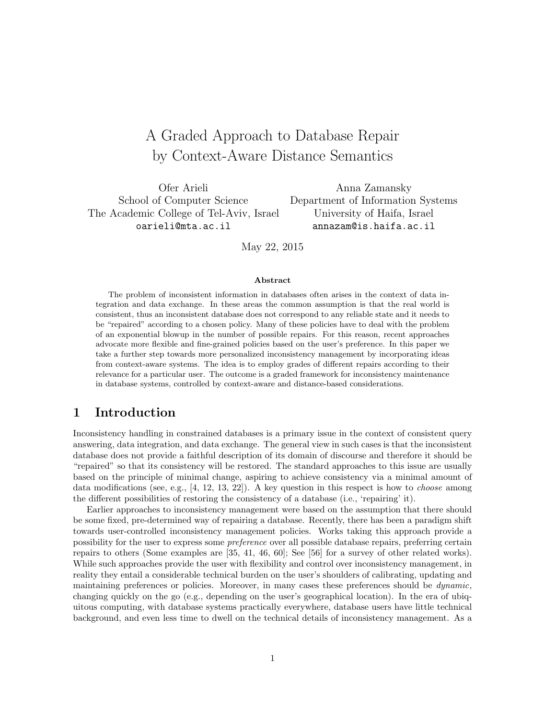# A Graded Approach to Database Repair by Context-Aware Distance Semantics

The Academic College of Tel-Aviv, Israel University of Haifa, Israel

Ofer Arieli Anna Zamansky School of Computer Science Department of Information Systems oarieli@mta.ac.il annazam@is.haifa.ac.il

May 22, 2015

#### Abstract

The problem of inconsistent information in databases often arises in the context of data integration and data exchange. In these areas the common assumption is that the real world is consistent, thus an inconsistent database does not correspond to any reliable state and it needs to be "repaired" according to a chosen policy. Many of these policies have to deal with the problem of an exponential blowup in the number of possible repairs. For this reason, recent approaches advocate more flexible and fine-grained policies based on the user's preference. In this paper we take a further step towards more personalized inconsistency management by incorporating ideas from context-aware systems. The idea is to employ grades of different repairs according to their relevance for a particular user. The outcome is a graded framework for inconsistency maintenance in database systems, controlled by context-aware and distance-based considerations.

## 1 Introduction

Inconsistency handling in constrained databases is a primary issue in the context of consistent query answering, data integration, and data exchange. The general view in such cases is that the inconsistent database does not provide a faithful description of its domain of discourse and therefore it should be "repaired" so that its consistency will be restored. The standard approaches to this issue are usually based on the principle of minimal change, aspiring to achieve consistency via a minimal amount of data modifications (see, e.g.,  $[4, 12, 13, 22]$ ). A key question in this respect is how to *choose* among the different possibilities of restoring the consistency of a database (i.e., 'repairing' it).

Earlier approaches to inconsistency management were based on the assumption that there should be some fixed, pre-determined way of repairing a database. Recently, there has been a paradigm shift towards user-controlled inconsistency management policies. Works taking this approach provide a possibility for the user to express some preference over all possible database repairs, preferring certain repairs to others (Some examples are [35, 41, 46, 60]; See [56] for a survey of other related works). While such approaches provide the user with flexibility and control over inconsistency management, in reality they entail a considerable technical burden on the user's shoulders of calibrating, updating and maintaining preferences or policies. Moreover, in many cases these preferences should be *dynamic*, changing quickly on the go (e.g., depending on the user's geographical location). In the era of ubiquitous computing, with database systems practically everywhere, database users have little technical background, and even less time to dwell on the technical details of inconsistency management. As a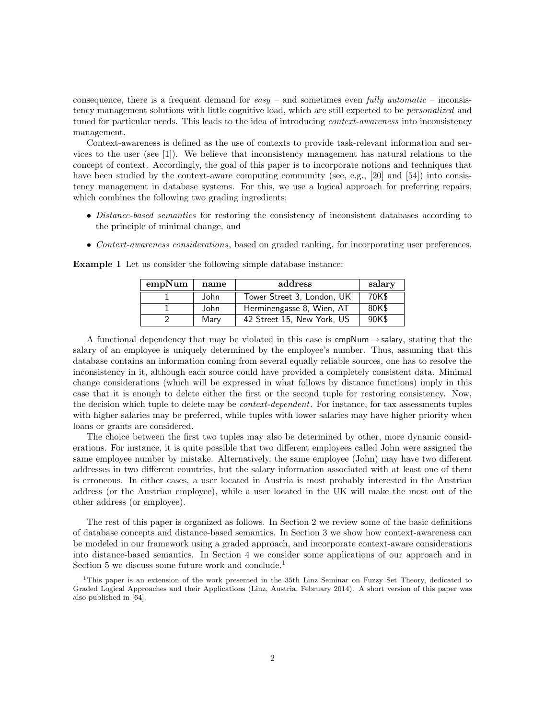consequence, there is a frequent demand for easy – and sometimes even fully automatic – inconsistency management solutions with little cognitive load, which are still expected to be personalized and tuned for particular needs. This leads to the idea of introducing context-awareness into inconsistency management.

Context-awareness is defined as the use of contexts to provide task-relevant information and services to the user (see [1]). We believe that inconsistency management has natural relations to the concept of context. Accordingly, the goal of this paper is to incorporate notions and techniques that have been studied by the context-aware computing community (see, e.g., [20] and [54]) into consistency management in database systems. For this, we use a logical approach for preferring repairs, which combines the following two grading ingredients:

- Distance-based semantics for restoring the consistency of inconsistent databases according to the principle of minimal change, and
- Context-awareness considerations, based on graded ranking, for incorporating user preferences.

| empNum | name | address                    | salary |
|--------|------|----------------------------|--------|
|        | John | Tower Street 3, London, UK | 70K\$  |
|        | John | Herminengasse 8, Wien, AT  | 80K\$  |
|        | Marv | 42 Street 15, New York, US | 90K\$  |

Example 1 Let us consider the following simple database instance:

A functional dependency that may be violated in this case is  $\epsilon$ mpNum  $\rightarrow$  salary, stating that the salary of an employee is uniquely determined by the employee's number. Thus, assuming that this database contains an information coming from several equally reliable sources, one has to resolve the inconsistency in it, although each source could have provided a completely consistent data. Minimal change considerations (which will be expressed in what follows by distance functions) imply in this case that it is enough to delete either the first or the second tuple for restoring consistency. Now, the decision which tuple to delete may be *context-dependent*. For instance, for tax assessments tuples with higher salaries may be preferred, while tuples with lower salaries may have higher priority when loans or grants are considered.

The choice between the first two tuples may also be determined by other, more dynamic considerations. For instance, it is quite possible that two different employees called John were assigned the same employee number by mistake. Alternatively, the same employee (John) may have two different addresses in two different countries, but the salary information associated with at least one of them is erroneous. In either cases, a user located in Austria is most probably interested in the Austrian address (or the Austrian employee), while a user located in the UK will make the most out of the other address (or employee).

The rest of this paper is organized as follows. In Section 2 we review some of the basic definitions of database concepts and distance-based semantics. In Section 3 we show how context-awareness can be modeled in our framework using a graded approach, and incorporate context-aware considerations into distance-based semantics. In Section 4 we consider some applications of our approach and in Section 5 we discuss some future work and conclude.<sup>1</sup>

<sup>1</sup>This paper is an extension of the work presented in the 35th Linz Seminar on Fuzzy Set Theory, dedicated to Graded Logical Approaches and their Applications (Linz, Austria, February 2014). A short version of this paper was also published in [64].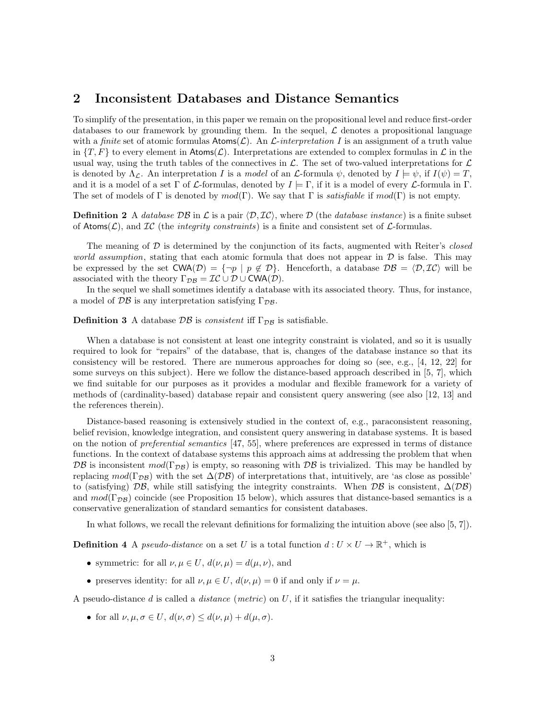## 2 Inconsistent Databases and Distance Semantics

To simplify of the presentation, in this paper we remain on the propositional level and reduce first-order databases to our framework by grounding them. In the sequel,  $\mathcal L$  denotes a propositional language with a *finite* set of atomic formulas  $\text{Atoms}(\mathcal{L})$ . An  $\mathcal{L}\text{-}interpretation I$  is an assignment of a truth value in  $\{T, F\}$  to every element in Atoms( $\mathcal{L}$ ). Interpretations are extended to complex formulas in  $\mathcal{L}$  in the usual way, using the truth tables of the connectives in  $\mathcal{L}$ . The set of two-valued interpretations for  $\mathcal{L}$ is denoted by  $\Lambda_{\mathcal{L}}$ . An interpretation I is a model of an L-formula  $\psi$ , denoted by  $I \models \psi$ , if  $I(\psi) = T$ , and it is a model of a set Γ of L-formulas, denoted by  $I \models \Gamma$ , if it is a model of every L-formula in Γ. The set of models of Γ is denoted by  $mod(\Gamma)$ . We say that Γ is *satisfiable* if  $mod(\Gamma)$  is not empty.

**Definition 2** A database  $\mathcal{DB}$  in  $\mathcal{L}$  is a pair  $\langle \mathcal{D}, \mathcal{IC} \rangle$ , where D (the database instance) is a finite subset of Atoms( $\mathcal{L}$ ), and  $\mathcal{IC}$  (the *integrity constraints*) is a finite and consistent set of  $\mathcal{L}$ -formulas.

The meaning of  $\mathcal D$  is determined by the conjunction of its facts, augmented with Reiter's closed world assumption, stating that each atomic formula that does not appear in  $\mathcal D$  is false. This may be expressed by the set  $\text{CWA}(\mathcal{D}) = \{\neg p \mid p \notin \mathcal{D}\}\$ . Henceforth, a database  $\mathcal{DB} = \langle \mathcal{D}, \mathcal{IC} \rangle$  will be associated with the theory  $\Gamma_{\mathcal{DB}} = \mathcal{IC} \cup \mathcal{D} \cup \mathsf{CWA}(\mathcal{D}).$ 

In the sequel we shall sometimes identify a database with its associated theory. Thus, for instance, a model of  $\mathcal{DB}$  is any interpretation satisfying  $\Gamma_{\mathcal{DB}}$ .

**Definition 3** A database  $\mathcal{DB}$  is consistent iff  $\Gamma_{\mathcal{DB}}$  is satisfiable.

When a database is not consistent at least one integrity constraint is violated, and so it is usually required to look for "repairs" of the database, that is, changes of the database instance so that its consistency will be restored. There are numerous approaches for doing so (see, e.g., [4, 12, 22] for some surveys on this subject). Here we follow the distance-based approach described in [5, 7], which we find suitable for our purposes as it provides a modular and flexible framework for a variety of methods of (cardinality-based) database repair and consistent query answering (see also [12, 13] and the references therein).

Distance-based reasoning is extensively studied in the context of, e.g., paraconsistent reasoning, belief revision, knowledge integration, and consistent query answering in database systems. It is based on the notion of preferential semantics [47, 55], where preferences are expressed in terms of distance functions. In the context of database systems this approach aims at addressing the problem that when DB is inconsistent  $mod(\Gamma_{DB})$  is empty, so reasoning with DB is trivialized. This may be handled by replacing  $mod(\Gamma_{\mathcal{DB}})$  with the set  $\Delta(\mathcal{DB})$  of interpretations that, intuitively, are 'as close as possible' to (satisfying)  $\mathcal{DB}$ , while still satisfying the integrity constraints. When  $\mathcal{DB}$  is consistent,  $\Delta(\mathcal{DB})$ and  $mod(\Gamma_{DB})$  coincide (see Proposition 15 below), which assures that distance-based semantics is a conservative generalization of standard semantics for consistent databases.

In what follows, we recall the relevant definitions for formalizing the intuition above (see also [5, 7]).

**Definition 4** A *pseudo-distance* on a set U is a total function  $d: U \times U \to \mathbb{R}^+$ , which is

- symmetric: for all  $\nu, \mu \in U$ ,  $d(\nu, \mu) = d(\mu, \nu)$ , and
- preserves identity: for all  $\nu, \mu \in U$ ,  $d(\nu, \mu) = 0$  if and only if  $\nu = \mu$ .

A pseudo-distance d is called a distance (metric) on  $U$ , if it satisfies the triangular inequality:

• for all  $\nu, \mu, \sigma \in U$ ,  $d(\nu, \sigma) \leq d(\nu, \mu) + d(\mu, \sigma)$ .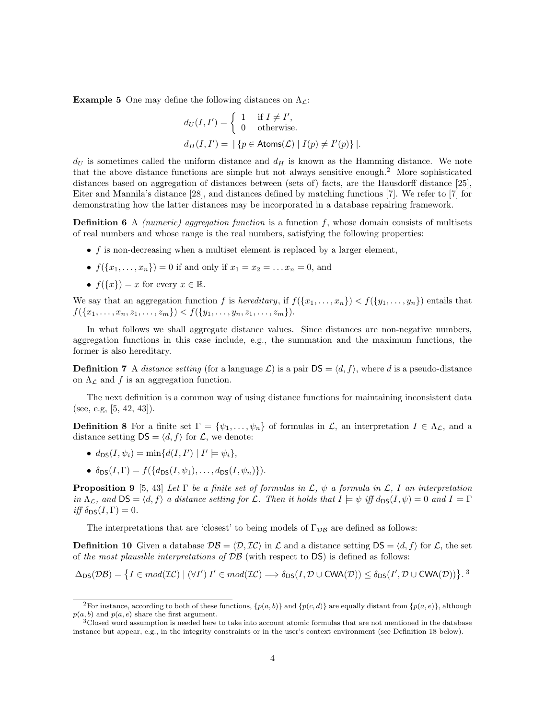**Example 5** One may define the following distances on  $\Lambda_{\mathcal{L}}$ :

$$
d_U(I, I') = \begin{cases} 1 & \text{if } I \neq I', \\ 0 & \text{otherwise.} \end{cases}
$$

$$
d_H(I, I') = |\{p \in \text{Atoms}(\mathcal{L}) \mid I(p) \neq I'(p)\}|.
$$

 $d_U$  is sometimes called the uniform distance and  $d_H$  is known as the Hamming distance. We note that the above distance functions are simple but not always sensitive enough.<sup>2</sup> More sophisticated distances based on aggregation of distances between (sets of) facts, are the Hausdorff distance [25], Eiter and Mannila's distance [28], and distances defined by matching functions [7]. We refer to [7] for demonstrating how the latter distances may be incorporated in a database repairing framework.

**Definition 6** A *(numeric) aggregation function* is a function f, whose domain consists of multisets of real numbers and whose range is the real numbers, satisfying the following properties:

- $\bullet$  f is non-decreasing when a multiset element is replaced by a larger element,
- $f({x_1, ..., x_n}) = 0$  if and only if  $x_1 = x_2 = ... x_n = 0$ , and
- $f({x}) = x$  for every  $x \in \mathbb{R}$ .

We say that an aggregation function f is hereditary, if  $f(\{x_1, \ldots, x_n\}) < f(\{y_1, \ldots, y_n\})$  entails that  $f({x_1, \ldots, x_n, z_1, \ldots, z_m}) < f({y_1, \ldots, y_n, z_1, \ldots, z_m}).$ 

In what follows we shall aggregate distance values. Since distances are non-negative numbers, aggregation functions in this case include, e.g., the summation and the maximum functions, the former is also hereditary.

**Definition 7** A distance setting (for a language L) is a pair  $DS = \langle d, f \rangle$ , where d is a pseudo-distance on  $\Lambda_{\mathcal{L}}$  and f is an aggregation function.

The next definition is a common way of using distance functions for maintaining inconsistent data (see, e.g,  $[5, 42, 43]$ ).

**Definition 8** For a finite set  $\Gamma = {\psi_1, \ldots, \psi_n}$  of formulas in  $\mathcal{L}$ , an interpretation  $I \in \Lambda_{\mathcal{L}}$ , and a distance setting  $DS = \langle d, f \rangle$  for  $\mathcal{L}$ , we denote:

- $d_{\text{DS}}(I, \psi_i) = \min\{d(I, I') \mid I' \models \psi_i\},\$
- $\delta_{\text{DS}}(I, \Gamma) = f({d}_{\text{DS}}(I, \psi_1), \ldots, d_{\text{DS}}(I, \psi_n))$ .

**Proposition 9** [5, 43] Let  $\Gamma$  be a finite set of formulas in  $\mathcal{L}$ ,  $\psi$  a formula in  $\mathcal{L}$ , I an interpretation in  $\Lambda_{\mathcal{L}}$ , and  $DS = \langle d, f \rangle$  a distance setting for L. Then it holds that  $I \models \psi$  iff  $d_{DS}(I, \psi) = 0$  and  $I \models \Gamma$ iff  $\delta_{\text{DS}}(I,\Gamma) = 0$ .

The interpretations that are 'closest' to being models of  $\Gamma_{\mathcal{DB}}$  are defined as follows:

**Definition 10** Given a database  $\mathcal{DB} = \langle \mathcal{D}, \mathcal{IC} \rangle$  in  $\mathcal{L}$  and a distance setting  $DS = \langle d, f \rangle$  for  $\mathcal{L}$ , the set of the most plausible interpretations of  $\mathcal{DB}$  (with respect to DS) is defined as follows:

$$
\Delta_{\text{DS}}(\mathcal{DB}) = \{ I \in \text{mod}(\mathcal{IC}) \mid (\forall I') \ I' \in \text{mod}(\mathcal{IC}) \Longrightarrow \delta_{\text{DS}}(I, \mathcal{D} \cup \text{CWA}(\mathcal{D})) \leq \delta_{\text{DS}}(I', \mathcal{D} \cup \text{CWA}(\mathcal{D})) \}.
$$

<sup>&</sup>lt;sup>2</sup>For instance, according to both of these functions,  $\{p(a, b)\}$  and  $\{p(c, d)\}$  are equally distant from  $\{p(a, e)\}$ , although  $p(a, b)$  and  $p(a, e)$  share the first argument.

<sup>&</sup>lt;sup>3</sup>Closed word assumption is needed here to take into account atomic formulas that are not mentioned in the database instance but appear, e.g., in the integrity constraints or in the user's context environment (see Definition 18 below).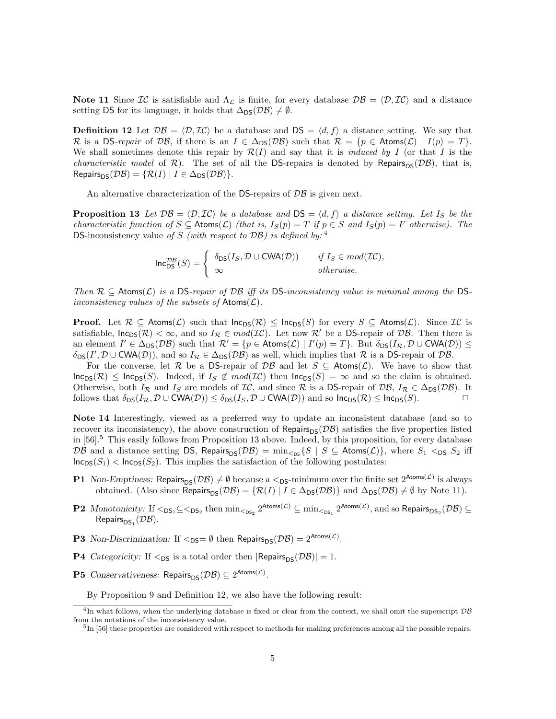Note 11 Since  $\mathcal{IC}$  is satisfiable and  $\Lambda_{\mathcal{L}}$  is finite, for every database  $\mathcal{DB} = \langle \mathcal{D}, \mathcal{IC} \rangle$  and a distance setting DS for its language, it holds that  $\Delta_{DS}(DB) \neq \emptyset$ .

**Definition 12** Let  $\mathcal{DB} = \langle \mathcal{D}, \mathcal{IC} \rangle$  be a database and  $DS = \langle d, f \rangle$  a distance setting. We say that R is a DS-repair of DB, if there is an  $I \in \Delta_{DS}(\mathcal{DB})$  such that  $\mathcal{R} = \{p \in \text{Atoms}(\mathcal{L}) \mid I(p) = T\}.$ We shall sometimes denote this repair by  $\mathcal{R}(I)$  and say that it is *induced by I* (or that I is the *characteristic model* of  $\mathcal{R}$ ). The set of all the DS-repairs is denoted by Repairs<sub>DS</sub>( $\mathcal{DB}$ ), that is, Repairs<sub>DS</sub> $(\mathcal{DB}) = {\mathcal{R}(I) | I \in \Delta_{DS}(\mathcal{DB})}.$ 

An alternative characterization of the DS-repairs of  $\mathcal{DB}$  is given next.

**Proposition 13** Let  $\mathcal{DB} = \langle \mathcal{D}, \mathcal{IC} \rangle$  be a database and  $DS = \langle d, f \rangle$  a distance setting. Let  $I_S$  be the characteristic function of  $S \subseteq$  Atoms( $\mathcal{L}$ ) (that is,  $I_S(p) = T$  if  $p \in S$  and  $I_S(p) = F$  otherwise). The DS-inconsistency value of S (with respect to  $\mathcal{DB}$ ) is defined by: <sup>4</sup>

$$
\mathsf{Inc}_{\mathsf{DS}}^{\mathcal{DB}}(S) = \begin{cases} \delta_{\mathsf{DS}}(I_S, \mathcal{D} \cup \mathsf{CWA}(\mathcal{D})) & \text{if } I_S \in \mathit{mod}(\mathcal{IC}), \\ \infty & \text{otherwise.} \end{cases}
$$

Then  $\mathcal{R} \subseteq$  Atoms( $\mathcal{L}$ ) is a DS-repair of DB iff its DS-inconsistency value is minimal among the DSinconsistency values of the subsets of  $\mathsf{Atoms}(\mathcal{L})$ .

**Proof.** Let  $\mathcal{R} \subseteq$  Atoms( $\mathcal{L}$ ) such that  $\mathsf{Inc}_{DS}(\mathcal{R}) \leq \mathsf{Inc}_{DS}(S)$  for every  $S \subseteq$  Atoms( $\mathcal{L}$ ). Since  $\mathcal{IC}$  is satisfiable,  $\text{Inc}_{DS}(\mathcal{R}) < \infty$ , and so  $I_{\mathcal{R}} \in \text{mod}(\mathcal{IC})$ . Let now  $\mathcal{R}'$  be a DS-repair of DB. Then there is an element  $I' \in \Delta_{DS}(\mathcal{DB})$  such that  $\mathcal{R}' = \{p \in \text{Atoms}(\mathcal{L}) \mid I'(p) = T\}$ . But  $\delta_{DS}(I_{\mathcal{R}}, \mathcal{D} \cup \text{CWA}(\mathcal{D})) \le$  $\delta_{DS}(I', \mathcal{D} \cup \text{CWA}(\mathcal{D}))$ , and so  $I_{\mathcal{R}} \in \Delta_{DS}(\mathcal{D}\mathcal{B})$  as well, which implies that  $\mathcal{R}$  is a DS-repair of  $\mathcal{D}\mathcal{B}$ .

For the converse, let R be a DS-repair of DB and let  $S \subseteq$  Atoms( $\mathcal{L}$ ). We have to show that  $\mathsf{Inc}_{\mathsf{DS}}(\mathcal{R}) \leq \mathsf{Inc}_{\mathsf{DS}}(S)$ . Indeed, if  $I_S \notin \mathsf{mod}(\mathcal{IC})$  then  $\mathsf{Inc}_{\mathsf{DS}}(S) = \infty$  and so the claim is obtained. Otherwise, both  $I_{\mathcal{R}}$  and  $I_S$  are models of  $\mathcal{IC}$ , and since  $\mathcal R$  is a DS-repair of  $\mathcal{DB}$ ,  $I_{\mathcal{R}} \in \Delta_{DS}(\mathcal{DB})$ . It follows that  $\delta_{DS}(I_R, \mathcal{D} \cup \text{CWA}(\mathcal{D})) \leq \delta_{DS}(I_S, \mathcal{D} \cup \text{CWA}(\mathcal{D}))$  and so  $\text{Inc}_{DS}(\mathcal{R}) \leq \text{Inc}_{DS}(S)$ .

Note 14 Interestingly, viewed as a preferred way to update an inconsistent database (and so to recover its inconsistency), the above construction of Repairs $_{DS}(\mathcal{DB})$  satisfies the five properties listed in  $[56]$ <sup>5</sup>. This easily follows from Proposition 13 above. Indeed, by this proposition, for every database DB and a distance setting DS, Repairs $_{DS}(\mathcal{DB}) = \min_{\leq s} \{ S \mid S \subseteq \text{Atoms}(\mathcal{L}) \}$ , where  $S_1 \leq_{DS} S_2$  iff  $\mathsf{Inc}_\mathsf{DS}(S_1) < \mathsf{Inc}_\mathsf{DS}(S_2)$ . This implies the satisfaction of the following postulates:

- **P1** Non-Emptiness: Repairs $_{DS}(\mathcal{DB}) \neq \emptyset$  because a  $\lt_{DS}$ -minimum over the finite set  $2^{Atoms(\mathcal{L})}$  is always obtained. (Also since Repairs<sub>DS</sub>( $\mathcal{DB}$ ) = { $\mathcal{R}(I) | I \in \Delta_{DS}(\mathcal{DB})$ } and  $\Delta_{DS}(\mathcal{DB}) \neq \emptyset$  by Note 11).
- **P2** Monotonicity:  $\text{If } \text{<_{DS_1}} \subseteq \text{<_{DS_2}} \text{ then } \min_{\text{<_{DS_2}}} 2^{\text{Atoms}(\mathcal{L})} \subseteq \min_{\text{<_{DS_1}}} 2^{\text{Atoms}(\mathcal{L})}, \text{and so } \text{Repairs}_{DS_2}(\mathcal{DB}) \subseteq \min_{\text{<_{DS_2}}} 2^{\text{Atoms}(\mathcal{L})}$  $\mathsf{Repairs}_{\mathsf{DS}_1}(\mathcal{DB}).$
- **P3** Non-Discrimination: If  $\lt_{DS} = \emptyset$  then Repairs<sub>DS</sub>( $\mathcal{DB}$ ) = 2<sup>Atoms( $\mathcal{L}$ ).</sup>
- **P4** Categoricity: If  $\lt_{DS}$  is a total order then  $|Repairs_{DS}(\mathcal{DB})| = 1$ .
- **P5** Conservativeness: Repairs<sub>DS</sub> $(\mathcal{DB}) \subseteq 2^{\text{Atoms}(\mathcal{L})}$ .

By Proposition 9 and Definition 12, we also have the following result:

<sup>&</sup>lt;sup>4</sup>In what follows, when the underlying database is fixed or clear from the context, we shall omit the superscript  $\mathcal{DB}$ from the notations of the inconsistency value.

<sup>&</sup>lt;sup>5</sup>In [56] these properties are considered with respect to methods for making preferences among all the possible repairs.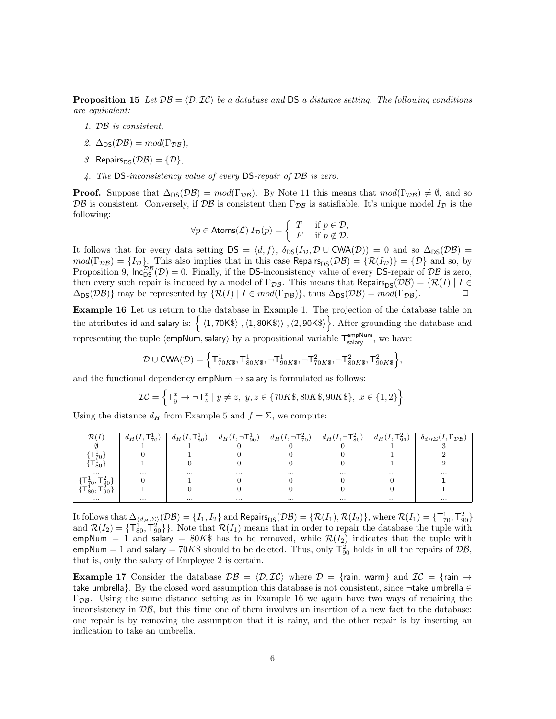**Proposition 15** Let  $\mathcal{DB} = \langle \mathcal{D}, \mathcal{IC} \rangle$  be a database and DS a distance setting. The following conditions are equivalent:

- 1. DB is consistent,
- 2.  $\Delta_{DS}(\mathcal{DB}) = mod(\Gamma_{\mathcal{DB}}),$
- 3. Repairs $_{DS}(\mathcal{DB}) = {\mathcal{D}}$ ,
- 4. The DS-inconsistency value of every DS-repair of DB is zero.

**Proof.** Suppose that  $\Delta_{\text{DS}}(\mathcal{DB}) = mod(\Gamma_{\mathcal{DB}})$ . By Note 11 this means that  $mod(\Gamma_{\mathcal{DB}}) \neq \emptyset$ , and so DB is consistent. Conversely, if DB is consistent then  $\Gamma_{\mathcal{DB}}$  is satisfiable. It's unique model  $I_{\mathcal{D}}$  is the following:

$$
\forall p \in \text{Atoms}(\mathcal{L}) \ I_{\mathcal{D}}(p) = \left\{ \begin{array}{ll} T & \text{if } p \in \mathcal{D}, \\ F & \text{if } p \notin \mathcal{D}. \end{array} \right.
$$

It follows that for every data setting  $DS = \langle d, f \rangle$ ,  $\delta_{DS}(I_{\mathcal{D}}, \mathcal{D} \cup \text{CWA}(\mathcal{D})) = 0$  and so  $\Delta_{DS}(\mathcal{D}B) =$  $mod(\Gamma_{\mathcal{DB}}) = \{I_{\mathcal{D}}\}\$ . This also implies that in this case Repairs<sub>DS</sub>( $\mathcal{DB}$ ) =  $\{\mathcal{R}(I_{\mathcal{D}})\} = \{\mathcal{D}\}\$  and so, by Proposition 9,  $\text{Inc}_{DS}^{DB}(\mathcal{D}) = 0$ . Finally, if the DS-inconsistency value of every DS-repair of  $DB$  is zero, then every such repair is induced by a model of  $\Gamma_{\mathcal{DB}}$ . This means that Repairs<sub>DS</sub>( $\mathcal{DB}$ ) = { $\mathcal{R}(I) | I \in$  $\Delta_{\text{DS}}(\mathcal{DB})$ } may be represented by  $\{\mathcal{R}(I) \mid I \in mod(\Gamma_{\mathcal{DB}})\}\$ , thus  $\Delta_{\text{DS}}(\mathcal{DB}) = mod(\Gamma_{\mathcal{DB}})\$ .

Example 16 Let us return to the database in Example 1. The projection of the database table on the attributes id and salary is:  $\{ (1, 70K\%) , (1, 80K\%) , (2, 90K\%) \}$ . After grounding the database and representing the tuple  $\langle \text{empNum}, \text{salary} \rangle$  by a propositional variable  $T_{\text{salary}}^{\text{empNum}},$  we have:

$$
\mathcal{D} \cup \text{CWA}(\mathcal{D}) = \Big\{ T_{70K\$}^1, T_{80K\$}^1, \neg T_{90K\$}^1, \neg T_{70K\$}^2, \neg T_{80K\$}^2, T_{90K\$}^2 \Big\},
$$

and the functional dependency empNum  $\rightarrow$  salary is formulated as follows:

$$
\mathcal{IC} = \Big\{ T_y^x \to \neg T_z^x \mid y \neq z, \ y, z \in \{70K\$, 80K\$, 90K\$, 90K\$, \ x \in \{1, 2\} \Big\}.
$$

Using the distance  $d_H$  from Example 5 and  $f = \Sigma$ , we compute:

|                                | $a_H$<br>70. | $a_H$<br>80/ | $\mathbf{r}$<br>$\frac{1}{90}$<br>$d_H$ | $a_H$<br>70. | ▵<br>$a_H$<br>80 <sub>1</sub> | $\frac{2}{90}$<br>$d_H$ | $\cdot$ ( <i>I</i> , $\Gamma_{\mathcal{DB}}$ )<br>$\partial_{d_H\Sigma}$ |
|--------------------------------|--------------|--------------|-----------------------------------------|--------------|-------------------------------|-------------------------|--------------------------------------------------------------------------|
| v                              |              |              |                                         |              |                               |                         |                                                                          |
| $\mathsf{T}^1_{70}$            |              |              |                                         |              |                               |                         |                                                                          |
| $\mathsf{T}^1_{80}$ .          |              |              |                                         |              |                               |                         |                                                                          |
| $\cdots$                       | $\cdots$     | $\cdots$     | $\cdots$                                | $\cdots$     | $\cdots$                      | $\cdots$                | $\cdots$                                                                 |
| $-2$                           |              |              |                                         |              |                               |                         |                                                                          |
| ▵<br>, 80,<br>.90 <sub>2</sub> |              |              |                                         |              |                               |                         |                                                                          |
| $\cdots$                       | $\cdots$     | $\cdots$     | $\cdots$                                | $\cdots$     | $\cdots$                      | $\cdots$                | $\cdots$                                                                 |

It follows that  $\Delta_{\langle d_H, \Sigma \rangle}(\mathcal{DB}) = \{I_1, I_2\}$  and Repairs<sub>DS</sub>( $\mathcal{DB}) = \{ \mathcal{R}(I_1), \mathcal{R}(I_2) \}$ , where  $\mathcal{R}(I_1) = \{ \mathsf{T}_{70}^1, \mathsf{T}_{90}^2 \}$ and  $\mathcal{R}(I_2) = {\{\mathsf{T}_{80}^1, \mathsf{T}_{90}^2\}}$ . Note that  $\mathcal{R}(I_1)$  means that in order to repair the database the tuple with empNum = 1 and salary = 80K\$ has to be removed, while  $\mathcal{R}(I_2)$  indicates that the tuple with empNum = 1 and salary =  $70K\$  should to be deleted. Thus, only  $\mathsf{T}_{90}^2$  holds in all the repairs of  $\mathcal{DB}$ , that is, only the salary of Employee 2 is certain.

**Example 17** Consider the database  $\mathcal{DB} = \langle \mathcal{D}, \mathcal{IC} \rangle$  where  $\mathcal{D} = \{\text{rain}, \text{warm}\}\$  and  $\mathcal{IC} = \{\text{rain} \rightarrow \text{Carmitian}\}\$ take umbrella}. By the closed word assumption this database is not consistent, since  $\neg$ take umbrella ∈  $\Gamma_{\mathcal{DB}}$ . Using the same distance setting as in Example 16 we again have two ways of repairing the inconsistency in  $\mathcal{DB}$ , but this time one of them involves an insertion of a new fact to the database: one repair is by removing the assumption that it is rainy, and the other repair is by inserting an indication to take an umbrella.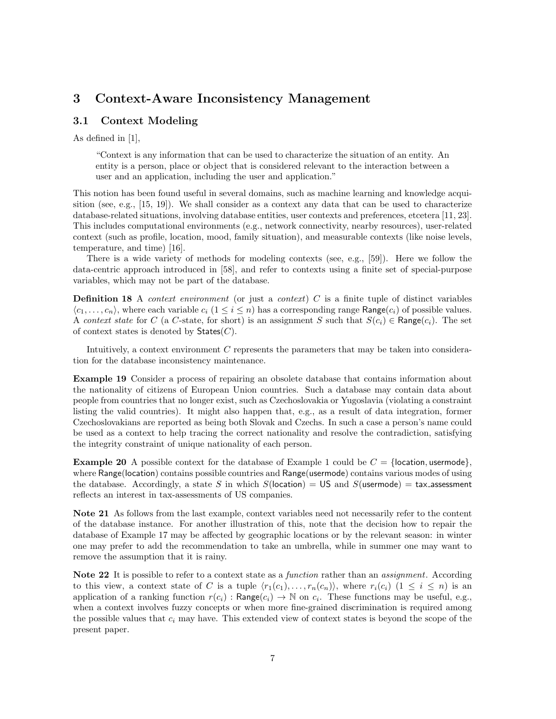# 3 Context-Aware Inconsistency Management

### 3.1 Context Modeling

As defined in [1],

"Context is any information that can be used to characterize the situation of an entity. An entity is a person, place or object that is considered relevant to the interaction between a user and an application, including the user and application."

This notion has been found useful in several domains, such as machine learning and knowledge acquisition (see, e.g., [15, 19]). We shall consider as a context any data that can be used to characterize database-related situations, involving database entities, user contexts and preferences, etcetera [11, 23]. This includes computational environments (e.g., network connectivity, nearby resources), user-related context (such as profile, location, mood, family situation), and measurable contexts (like noise levels, temperature, and time) [16].

There is a wide variety of methods for modeling contexts (see, e.g., [59]). Here we follow the data-centric approach introduced in [58], and refer to contexts using a finite set of special-purpose variables, which may not be part of the database.

**Definition 18** A *context environment* (or just a *context*)  $C$  is a finite tuple of distinct variables  $\langle c_1, \ldots, c_n \rangle$ , where each variable  $c_i$   $(1 \leq i \leq n)$  has a corresponding range Range $(c_i)$  of possible values. A context state for C (a C-state, for short) is an assignment S such that  $S(c_i) \in \mathsf{Range}(c_i)$ . The set of context states is denoted by  $\mathsf{States}(C)$ .

Intuitively, a context environment C represents the parameters that may be taken into consideration for the database inconsistency maintenance.

Example 19 Consider a process of repairing an obsolete database that contains information about the nationality of citizens of European Union countries. Such a database may contain data about people from countries that no longer exist, such as Czechoslovakia or Yugoslavia (violating a constraint listing the valid countries). It might also happen that, e.g., as a result of data integration, former Czechoslovakians are reported as being both Slovak and Czechs. In such a case a person's name could be used as a context to help tracing the correct nationality and resolve the contradiction, satisfying the integrity constraint of unique nationality of each person.

**Example 20** A possible context for the database of Example 1 could be  $C = \{location, username\}$ . where Range(location) contains possible countries and Range(usermode) contains various modes of using the database. Accordingly, a state S in which  $S($ location) = US and  $S($ usermode) = tax assessment reflects an interest in tax-assessments of US companies.

Note 21 As follows from the last example, context variables need not necessarily refer to the content of the database instance. For another illustration of this, note that the decision how to repair the database of Example 17 may be affected by geographic locations or by the relevant season: in winter one may prefer to add the recommendation to take an umbrella, while in summer one may want to remove the assumption that it is rainy.

Note 22 It is possible to refer to a context state as a *function* rather than an *assignment*. According to this view, a context state of C is a tuple  $\langle r_1(c_1), \ldots, r_n(c_n) \rangle$ , where  $r_i(c_i)$   $(1 \leq i \leq n)$  is an application of a ranking function  $r(c_i)$ : Range $(c_i) \to \mathbb{N}$  on  $c_i$ . These functions may be useful, e.g., when a context involves fuzzy concepts or when more fine-grained discrimination is required among the possible values that  $c_i$  may have. This extended view of context states is beyond the scope of the present paper.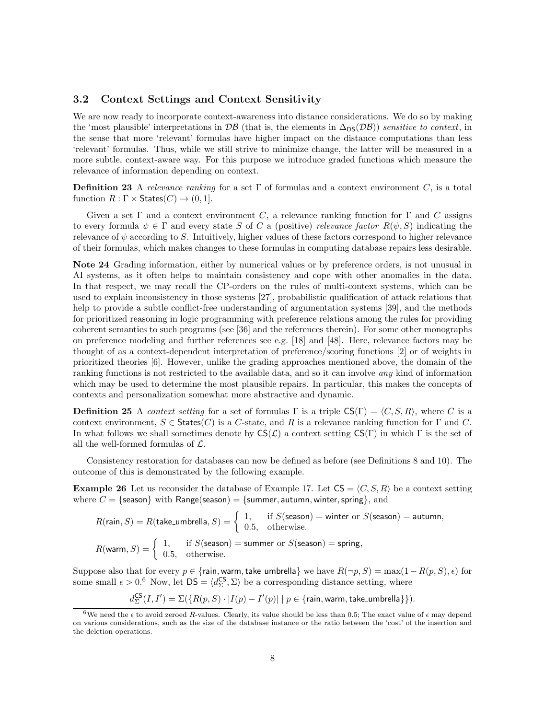### 3.2 Context Settings and Context Sensitivity

We are now ready to incorporate context-awareness into distance considerations. We do so by making the 'most plausible' interpretations in  $\mathcal{DB}$  (that is, the elements in  $\Delta_{DS}(\mathcal{DB})$ ) sensitive to context, in the sense that more 'relevant' formulas have higher impact on the distance computations than less 'relevant' formulas. Thus, while we still strive to minimize change, the latter will be measured in a more subtle, context-aware way. For this purpose we introduce graded functions which measure the relevance of information depending on context.

**Definition 23** A relevance ranking for a set  $\Gamma$  of formulas and a context environment  $C$ , is a total function  $R : \Gamma \times \text{States}(C) \to (0,1].$ 

Given a set Γ and a context environment C, a relevance ranking function for Γ and C assigns to every formula  $\psi \in \Gamma$  and every state S of C a (positive) relevance factor  $R(\psi, S)$  indicating the relevance of  $\psi$  according to S. Intuitively, higher values of these factors correspond to higher relevance of their formulas, which makes changes to these formulas in computing database repairs less desirable.

Note 24 Grading information, either by numerical values or by preference orders, is not unusual in AI systems, as it often helps to maintain consistency and cope with other anomalies in the data. In that respect, we may recall the CP-orders on the rules of multi-context systems, which can be used to explain inconsistency in those systems [27], probabilistic qualification of attack relations that help to provide a subtle conflict-free understanding of argumentation systems [39], and the methods for prioritized reasoning in logic programming with preference relations among the rules for providing coherent semantics to such programs (see [36] and the references therein). For some other monographs on preference modeling and further references see e.g. [18] and [48]. Here, relevance factors may be thought of as a context-dependent interpretation of preference/scoring functions [2] or of weights in prioritized theories [6]. However, unlike the grading approaches mentioned above, the domain of the ranking functions is not restricted to the available data, and so it can involve any kind of information which may be used to determine the most plausible repairs. In particular, this makes the concepts of contexts and personalization somewhat more abstractive and dynamic.

**Definition 25** A context setting for a set of formulas Γ is a triple  $CS(\Gamma) = \langle C, S, R \rangle$ , where C is a context environment,  $S \in \text{States}(C)$  is a C-state, and R is a relevance ranking function for  $\Gamma$  and C. In what follows we shall sometimes denote by  $\mathsf{CS}(\mathcal{L})$  a context setting  $\mathsf{CS}(\Gamma)$  in which  $\Gamma$  is the set of all the well-formed formulas of  $\mathcal{L}$ .

Consistency restoration for databases can now be defined as before (see Definitions 8 and 10). The outcome of this is demonstrated by the following example.

**Example 26** Let us reconsider the database of Example 17. Let  $CS = \langle C, S, R \rangle$  be a context setting where  $C = \{$  season $\}$  with Range(season) =  $\{$  summer, autumn, winter, spring $\}$ , and

$$
R(\text{rain}, S) = R(\text{take\_umbrella}, S) = \begin{cases} 1, & \text{if } S(\text{season}) = \text{winter or } S(\text{season}) = \text{autumn}, \\ 0.5, & \text{otherwise.} \end{cases}
$$
\n
$$
R(\text{warm}, S) = \begin{cases} 1, & \text{if } S(\text{season}) = \text{summer or } S(\text{season}) = \text{spring}, \\ 0.5, & \text{otherwise.} \end{cases}
$$

Suppose also that for every  $p \in \{\text{rain}, \text{warm}, \text{take\_umbrella}\}\$  we have  $R(\neg p, S) = \max(1 - R(p, S), \epsilon)$  for some small  $\epsilon > 0.6$  Now, let  $DS = \langle d_{\Sigma}^{\text{CS}}, \Sigma \rangle$  be a corresponding distance setting, where

 $d^{\sf CS}_{\Sigma}(I,I') = \Sigma(\{R(p,S)\cdot |I(p)-I'(p)|\mid p\in\{\textsf{rain},\textsf{warm},\textsf{take\_umbrella}\}\}).$ 

<sup>&</sup>lt;sup>6</sup>We need the  $\epsilon$  to avoid zeroed R-values. Clearly, its value should be less than 0.5; The exact value of  $\epsilon$  may depend on various considerations, such as the size of the database instance or the ratio between the 'cost' of the insertion and the deletion operations.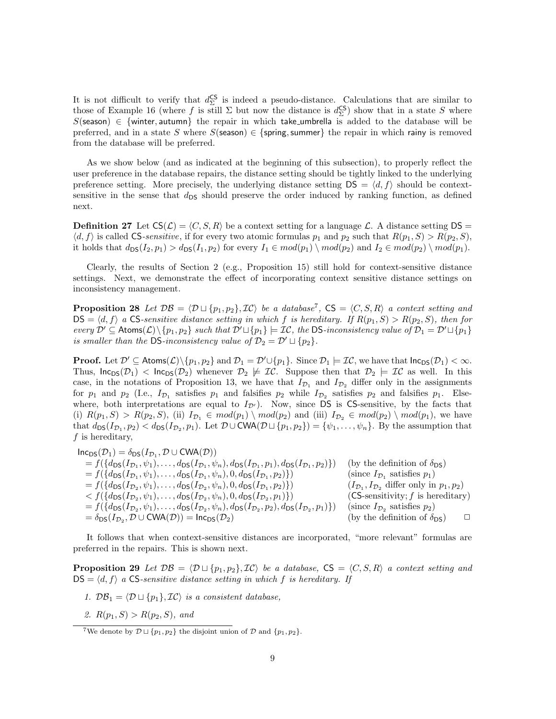It is not difficult to verify that  $d_{\Sigma}^{\text{CS}}$  is indeed a pseudo-distance. Calculations that are similar to those of Example 16 (where f is still  $\Sigma$  but now the distance is  $d_{\Sigma}^{\text{CS}}$ ) show that in a state S where S(season)  $\in$  {winter, autumn} the repair in which take umbrella is added to the database will be preferred, and in a state S where  $S$ (season)  $\in$  {spring, summer} the repair in which rainy is removed from the database will be preferred.

As we show below (and as indicated at the beginning of this subsection), to properly reflect the user preference in the database repairs, the distance setting should be tightly linked to the underlying preference setting. More precisely, the underlying distance setting  $DS = \langle d, f \rangle$  should be contextsensitive in the sense that  $d_{DS}$  should preserve the order induced by ranking function, as defined next.

**Definition 27** Let  $CS(\mathcal{L}) = \langle C, S, R \rangle$  be a context setting for a language  $\mathcal{L}$ . A distance setting DS =  $\langle d, f \rangle$  is called CS-sensitive, if for every two atomic formulas  $p_1$  and  $p_2$  such that  $R(p_1, S) > R(p_2, S)$ , it holds that  $d_{DS}(I_2, p_1) > d_{DS}(I_1, p_2)$  for every  $I_1 \in mod(p_1) \setminus mod(p_2)$  and  $I_2 \in mod(p_2) \setminus mod(p_1)$ .

Clearly, the results of Section 2 (e.g., Proposition 15) still hold for context-sensitive distance settings. Next, we demonstrate the effect of incorporating context sensitive distance settings on inconsistency management.

**Proposition 28** Let  $\mathcal{DB} = \langle \mathcal{D} \sqcup \{p_1, p_2\}, \mathcal{IC} \rangle$  be a database<sup>7</sup>,  $CS = \langle C, S, R \rangle$  a context setting and  $DS = \langle d, f \rangle$  a CS-sensitive distance setting in which f is hereditary. If  $R(p_1, S) > R(p_2, S)$ , then for every  $\mathcal{D}' \subseteq \text{Atoms}(\mathcal{L}) \setminus \{p_1, p_2\}$  such that  $\mathcal{D}' \sqcup \{p_1\} \models \mathcal{IC}$ , the DS-inconsistency value of  $\mathcal{D}_1 = \mathcal{D}' \sqcup \{p_1\}$ is smaller than the DS-inconsistency value of  $\mathcal{D}_2 = \mathcal{D}' \sqcup \{p_2\}.$ 

**Proof.** Let  $\mathcal{D}' \subseteq \text{Atoms}(\mathcal{L}) \setminus \{p_1, p_2\}$  and  $\mathcal{D}_1 = \mathcal{D}' \cup \{p_1\}$ . Since  $\mathcal{D}_1 \models \mathcal{IC}$ , we have that  $\text{Inc}_{DS}(\mathcal{D}_1) < \infty$ . Thus,  $\text{Inc}_{DS}(\mathcal{D}_1)$  <  $\text{Inc}_{DS}(\mathcal{D}_2)$  whenever  $\mathcal{D}_2 \not\models \mathcal{IC}$ . Suppose then that  $\mathcal{D}_2 \models \mathcal{IC}$  as well. In this case, in the notations of Proposition 13, we have that  $I_{\mathcal{D}_1}$  and  $I_{\mathcal{D}_2}$  differ only in the assignments for  $p_1$  and  $p_2$  (I.e.,  $I_{\mathcal{D}_1}$  satisfies  $p_1$  and falsifies  $p_2$  while  $I_{\mathcal{D}_2}$  satisfies  $p_2$  and falsifies  $p_1$ . Elsewhere, both interpretations are equal to  $I_{\mathcal{D}'}$ . Now, since DS is CS-sensitive, by the facts that (i)  $R(p_1, S) > R(p_2, S)$ , (ii)  $I_{p_1} \in mod(p_1) \setminus mod(p_2)$  and (iii)  $I_{p_2} \in mod(p_2) \setminus mod(p_1)$ , we have that  $d_{\text{DS}}(I_{\mathcal{D}_1}, p_2) < d_{\text{DS}}(I_{\mathcal{D}_2}, p_1)$ . Let  $\mathcal{D} \cup \text{CWA}(\mathcal{D} \sqcup \{p_1, p_2\}) = \{\psi_1, \dots, \psi_n\}$ . By the assumption that  $f$  is hereditary,

 $Inc_{DS}(\mathcal{D}_1) = \delta_{DS}(I_{\mathcal{D}_1}, \mathcal{D} \cup CWA(\mathcal{D}))$ 

 $= f({d_{DS}(I_{\mathcal{D}_1}, \psi_1), \ldots, d_{DS}(I_{\mathcal{D}_1}, \psi_n), d_{DS}(I_{\mathcal{D}_1}, p_1), d_{DS}(I_{\mathcal{D}_1})}$ (by the definition of  $\delta_{DS}$ )  $= f({d_{\text{DS}}(I_{\mathcal{D}_1}, \psi_1), \ldots, d_{\text{DS}}(I_{\mathcal{D}_1}, \psi_n), 0, d_{\text{DS}}(I_{\mathcal{D}_1})}$  $(p_2)$ ) (since  $I_{\mathcal{D}_1}$  satisfies  $p_1$ ) =  $f({d_{DS}(I_{\mathcal{D}_2}, \psi_1), \ldots, d_{DS}(I_{\mathcal{D}_2}, \psi_n), 0, d_{DS}(I_{\mathcal{D}_1}, p_2)}$  (I<sub>D<sub>1</sub></sub>  $(I_{\mathcal{D}_1}, I_{\mathcal{D}_2}$  differ only in  $p_1, p_2$ )  $< f({d_{\text{DS}}(I_{\mathcal{D}_2}, \psi_1), \ldots, d_{\text{DS}}(I_{\mathcal{D}_2}, \psi_n), 0, d_{\text{DS}}(I_{\mathcal{D}_2})}$  $(CS\text{-sensitivity}; f \text{ is hereditary})$  $= f({d_{\text{DS}}(I_{\mathcal{D}_2}, \psi_1), \ldots, d_{\text{DS}}(I_{\mathcal{D}_2}, \psi_n), d_{\text{DS}}(I_{\mathcal{D}_2}, p_2), d_{\text{DS}}(I_{\mathcal{D}_2})}$  $(p_1)$ ) (since  $I_{\mathcal{D}_2}$  satisfies  $p_2$ )  $= \delta_{DS}(I_{\mathcal{D}_2}, \mathcal{D} \cup \text{CWA}(\mathcal{D})) = \text{Inc}_{DS}(\mathcal{D}_2)$  (by the definition of  $\delta_{DS}$ )  $\Box$ 

It follows that when context-sensitive distances are incorporated, "more relevant" formulas are preferred in the repairs. This is shown next.

**Proposition 29** Let  $\mathcal{DB} = \langle \mathcal{D} \sqcup \{p_1, p_2\}, \mathcal{IC} \rangle$  be a database,  $CS = \langle C, S, R \rangle$  a context setting and  $DS = \langle d, f \rangle$  a CS-sensitive distance setting in which f is hereditary. If

- 1.  $\mathcal{DB}_1 = \langle \mathcal{D} \sqcup \{p_1\}, \mathcal{IC} \rangle$  is a consistent database,
- 2.  $R(p_1, S) > R(p_2, S)$ , and

<sup>&</sup>lt;sup>7</sup>We denote by  $\mathcal{D} \sqcup \{p_1, p_2\}$  the disjoint union of  $\mathcal D$  and  $\{p_1, p_2\}$ .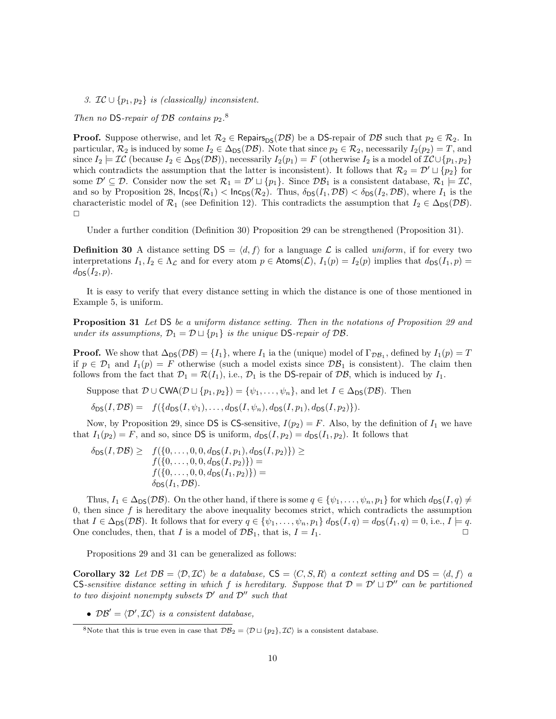3. IC  $\cup$  {p<sub>1</sub>, p<sub>2</sub>} is (classically) inconsistent.

Then no DS-repair of  $DB$  contains  $p_2$ .<sup>8</sup>

**Proof.** Suppose otherwise, and let  $\mathcal{R}_2 \in \text{Repairs}_{DS}(\mathcal{DB})$  be a DS-repair of  $\mathcal{DB}$  such that  $p_2 \in \mathcal{R}_2$ . In particular,  $\mathcal{R}_2$  is induced by some  $I_2 \in \Delta_{DS}(\mathcal{DB})$ . Note that since  $p_2 \in \mathcal{R}_2$ , necessarily  $I_2(p_2) = T$ , and since  $I_2 \models \mathcal{IC}$  (because  $I_2 \in \Delta_{DS}(\mathcal{DB})$ ), necessarily  $I_2(p_1) = F$  (otherwise  $I_2$  is a model of  $\mathcal{IC} \cup \{p_1, p_2\}$ ) which contradicts the assumption that the latter is inconsistent). It follows that  $\mathcal{R}_2 = \mathcal{D}' \sqcup \{p_2\}$  for some  $\mathcal{D}' \subseteq \mathcal{D}$ . Consider now the set  $\mathcal{R}_1 = \mathcal{D}' \sqcup \{p_1\}$ . Since  $\mathcal{DB}_1$  is a consistent database,  $\mathcal{R}_1 \models \mathcal{IC}$ , and so by Proposition 28,  $\text{Inc}_{DS}(\mathcal{R}_1) < \text{Inc}_{DS}(\mathcal{R}_2)$ . Thus,  $\delta_{DS}(I_1, \mathcal{DB}) < \delta_{DS}(I_2, \mathcal{DB})$ , where  $I_1$  is the characteristic model of  $\mathcal{R}_1$  (see Definition 12). This contradicts the assumption that  $I_2 \in \Delta_{DS}(\mathcal{DB})$ .  $\Box$ 

Under a further condition (Definition 30) Proposition 29 can be strengthened (Proposition 31).

**Definition 30** A distance setting  $DS = \langle d, f \rangle$  for a language L is called uniform, if for every two interpretations  $I_1, I_2 \in \Lambda_{\mathcal{L}}$  and for every atom  $p \in \text{Atoms}(\mathcal{L}), I_1(p) = I_2(p)$  implies that  $d_{\text{DS}}(I_1, p) =$  $d_{\text{DS}}(I_2, p).$ 

It is easy to verify that every distance setting in which the distance is one of those mentioned in Example 5, is uniform.

**Proposition 31** Let DS be a uniform distance setting. Then in the notations of Proposition 29 and under its assumptions,  $\mathcal{D}_1 = \mathcal{D} \sqcup \{p_1\}$  is the unique DS-repair of DB.

**Proof.** We show that  $\Delta_{DS}(\mathcal{DB}) = \{I_1\}$ , where  $I_1$  ia the (unique) model of  $\Gamma_{\mathcal{DB}_1}$ , defined by  $I_1(p) = T$ if  $p \in \mathcal{D}_1$  and  $I_1(p) = F$  otherwise (such a model exists since  $\mathcal{DB}_1$  is consistent). The claim then follows from the fact that  $\mathcal{D}_1 = \mathcal{R}(I_1)$ , i.e.,  $\mathcal{D}_1$  is the DS-repair of DB, which is induced by  $I_1$ .

Suppose that  $\mathcal{D} \cup \text{CWA}(\mathcal{D} \sqcup \{p_1, p_2\}) = \{\psi_1, \ldots, \psi_n\}$ , and let  $I \in \Delta_{\text{DS}}(\mathcal{D}\mathcal{B})$ . Then

 $\delta_{\text{DS}}(I, \mathcal{DB}) = f(\{d_{\text{DS}}(I, \psi_1), \dots, d_{\text{DS}}(I, \psi_n), d_{\text{DS}}(I, p_1), d_{\text{DS}}(I, p_2)\}).$ 

Now, by Proposition 29, since DS is CS-sensitive,  $I(p_2) = F$ . Also, by the definition of  $I_1$  we have that  $I_1(p_2) = F$ , and so, since DS is uniform,  $d_{DS}(I, p_2) = d_{DS}(I_1, p_2)$ . It follows that

$$
\delta_{\text{DS}}(I, \mathcal{DB}) \geq f(\{0, \ldots, 0, 0, d_{\text{DS}}(I, p_1), d_{\text{DS}}(I, p_2)\}) \geq f(\{0, \ldots, 0, 0, d_{\text{DS}}(I, p_2)\}) = f(\{0, \ldots, 0, 0, d_{\text{DS}}(I_1, p_2)\}) = \delta_{\text{DS}}(I_1, \mathcal{DB}).
$$

Thus,  $I_1 \in \Delta_{DS}(\mathcal{DB})$ . On the other hand, if there is some  $q \in \{\psi_1, \ldots, \psi_n, p_1\}$  for which  $d_{DS}(I, q) \neq$ 0, then since  $f$  is hereditary the above inequality becomes strict, which contradicts the assumption that  $I \in \Delta_{DS}(\mathcal{DB})$ . It follows that for every  $q \in \{\psi_1, \ldots, \psi_n, p_1\}$   $d_{DS}(I, q) = d_{DS}(I_1, q) = 0$ , i.e.,  $I \models q$ . One concludes, then, that I is a model of  $\mathcal{DB}_1$ , that is,  $I = I_1$ .

Propositions 29 and 31 can be generalized as follows:

Corollary 32 Let  $\mathcal{DB} = \langle \mathcal{D}, \mathcal{IC} \rangle$  be a database,  $CS = \langle C, S, R \rangle$  a context setting and  $DS = \langle d, f \rangle$  a CS-sensitive distance setting in which f is hereditary. Suppose that  $D = D' \sqcup D''$  can be partitioned to two disjoint nonempty subsets  $\mathcal{D}'$  and  $\mathcal{D}''$  such that

•  $\mathcal{DB}' = \langle \mathcal{D}', \mathcal{IC} \rangle$  is a consistent database,

<sup>&</sup>lt;sup>8</sup>Note that this is true even in case that  $\mathcal{DB}_2 = \langle \mathcal{D} \sqcup \{p_2\}, \mathcal{IC} \rangle$  is a consistent database.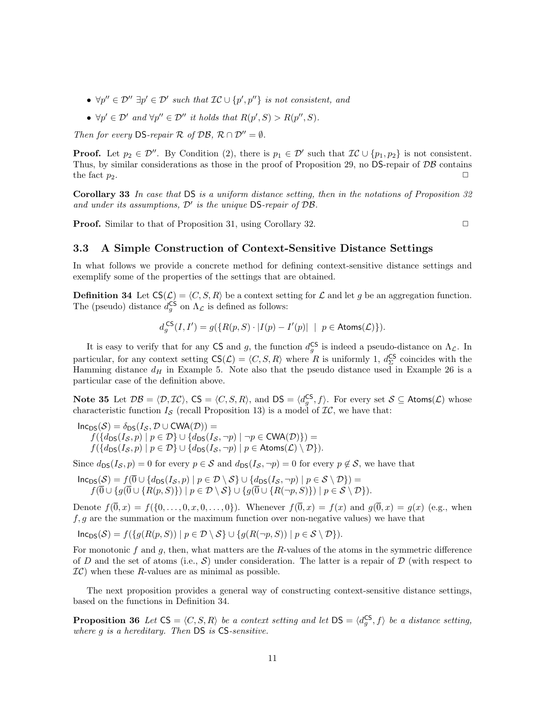- $\forall p'' \in \mathcal{D}'' \exists p' \in \mathcal{D}'$  such that  $\mathcal{IC} \cup \{p', p''\}$  is not consistent, and
- $\forall p' \in \mathcal{D}'$  and  $\forall p'' \in \mathcal{D}''$  it holds that  $R(p', S) > R(p'', S)$ .

Then for every DS-repair  $\mathcal R$  of  $\mathcal D\mathcal B$ ,  $\mathcal R \cap \mathcal D'' = \emptyset$ .

**Proof.** Let  $p_2 \in \mathcal{D}''$ . By Condition (2), there is  $p_1 \in \mathcal{D}'$  such that  $\mathcal{IC} \cup \{p_1, p_2\}$  is not consistent. Thus, by similar considerations as those in the proof of Proposition 29, no  $DS$ -repair of  $DB$  contains the fact  $p_2$ .

Corollary 33 In case that DS is a uniform distance setting, then in the notations of Proposition 32 and under its assumptions,  $\mathcal{D}'$  is the unique DS-repair of DB.

**Proof.** Similar to that of Proposition 31, using Corollary 32. □

#### 3.3 A Simple Construction of Context-Sensitive Distance Settings

In what follows we provide a concrete method for defining context-sensitive distance settings and exemplify some of the properties of the settings that are obtained.

**Definition 34** Let  $CS(\mathcal{L}) = \langle C, S, R \rangle$  be a context setting for  $\mathcal{L}$  and let g be an aggregation function. The (pseudo) distance  $d_g^{\text{CS}}$  on  $\Lambda_{\mathcal{L}}$  is defined as follows:

$$
d_g^{\mathsf{CS}}(I, I') = g(\{R(p, S) \cdot | I(p) - I'(p)| \mid p \in \mathsf{Atoms}(\mathcal{L})\}).
$$

It is easy to verify that for any CS and g, the function  $d_g^{\text{CS}}$  is indeed a pseudo-distance on  $\Lambda_{\mathcal{L}}$ . In particular, for any context setting  $\mathsf{CS}(\mathcal{L}) = \langle C, S, R \rangle$  where R is uniformly 1,  $d_{\Sigma}^{\mathsf{CS}}$  coincides with the Hamming distance  $d_H$  in Example 5. Note also that the pseudo distance used in Example 26 is a particular case of the definition above.

**Note 35** Let  $\mathcal{DB} = \langle \mathcal{D}, \mathcal{IC} \rangle$ ,  $CS = \langle C, S, R \rangle$ , and  $DS = \langle d_g^{\text{CS}}, f \rangle$ . For every set  $S \subseteq \text{Atoms}(\mathcal{L})$  whose characteristic function  $I_{\mathcal{S}}$  (recall Proposition 13) is a model of  $\mathcal{IC}$ , we have that:

 $Inc_{DS}(S) = \delta_{DS}(I_S, D \cup CWA(D)) =$  $f(\lbrace d_{\textsf{DS}}(I_{\mathcal{S}}, p) \mid p \in \mathcal{D} \rbrace \cup \lbrace d_{\textsf{DS}}(I_{\mathcal{S}}, \neg p) \mid \neg p \in \textsf{CWA}(\mathcal{D}) \rbrace) =$  $f({d_{DS}(I_S, p) | p \in \mathcal{D}} \cup {d_{DS}(I_S, \neg p) | p \in \text{Atoms}(\mathcal{L}) \setminus \mathcal{D}}).$ 

Since  $d_{DS}(I_S, p) = 0$  for every  $p \in S$  and  $d_{DS}(I_S, \neg p) = 0$  for every  $p \notin S$ , we have that

 $\mathsf{Inc}_\mathsf{DS}(\mathcal{S}) = f(\overline{0} \cup \{d_\mathsf{DS}(I_\mathcal{S}, p) \mid p \in \mathcal{D} \setminus \mathcal{S}\} \cup \{d_\mathsf{DS}(I_\mathcal{S}, \neg p) \mid p \in \mathcal{S} \setminus \mathcal{D}\}) =$  $f(\overline{0} \cup \{g(\overline{0} \cup \{R(p,S)\}) \mid p \in \mathcal{D} \setminus \mathcal{S}\} \cup \{g(\overline{0} \cup \{R(\neg p,S)\}) \mid p \in \mathcal{S} \setminus \mathcal{D}\}).$ 

Denote  $f(\overline{0}, x) = f({0, \ldots, 0, x, 0, \ldots, 0})$ . Whenever  $f(\overline{0}, x) = f(x)$  and  $g(\overline{0}, x) = g(x)$  (e.g., when  $f, g$  are the summation or the maximum function over non-negative values) we have that

$$
\mathsf{Inc}_{\mathsf{DS}}(\mathcal{S}) = f(\{g(R(p, S)) \mid p \in \mathcal{D} \setminus \mathcal{S}\} \cup \{g(R(\neg p, S)) \mid p \in \mathcal{S} \setminus \mathcal{D}\}).
$$

For monotonic f and g, then, what matters are the R-values of the atoms in the symmetric difference of D and the set of atoms (i.e., S) under consideration. The latter is a repair of  $\mathcal D$  (with respect to  $\mathcal{I}\mathcal{C}$ ) when these R-values are as minimal as possible.

The next proposition provides a general way of constructing context-sensitive distance settings, based on the functions in Definition 34.

**Proposition 36** Let  $CS = \langle C, S, R \rangle$  be a context setting and let  $DS = \langle d_g^{\text{CS}}, f \rangle$  be a distance setting, where  $g$  is a hereditary. Then  $DS$  is  $CS$ -sensitive.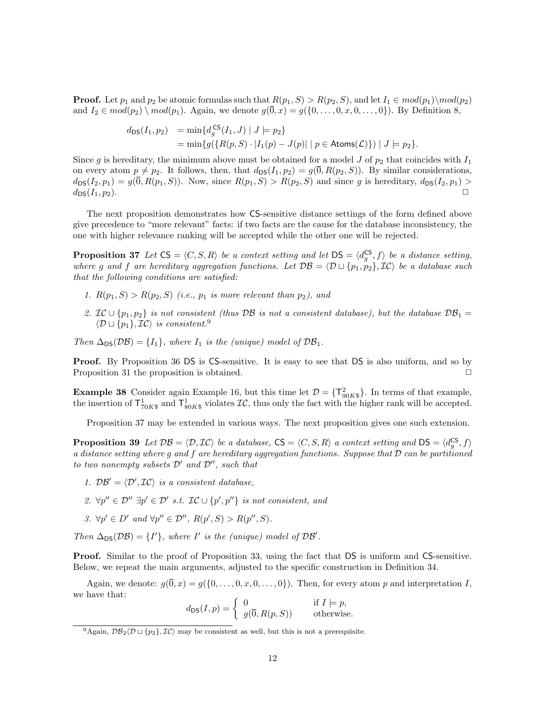**Proof.** Let  $p_1$  and  $p_2$  be atomic formulas such that  $R(p_1, S) > R(p_2, S)$ , and let  $I_1 \in mod(p_1) \setminus mod(p_2)$ and  $I_2 \in mod(p_2) \setminus mod(p_1)$ . Again, we denote  $g(\overline{0}, x) = g(\{0, \ldots, 0, x, 0, \ldots, 0\})$ . By Definition 8,

$$
d_{\text{DS}}(I_1, p_2) = \min \{ d_g^{\text{CS}}(I_1, J) \mid J \models p_2 \} \\
= \min \{ g(\{ R(p, S) \cdot |I_1(p) - J(p)| \mid p \in \text{Atoms}(\mathcal{L}) \}) \mid J \models p_2 \}.
$$

Since g is hereditary, the minimum above must be obtained for a model J of  $p_2$  that coincides with  $I_1$ on every atom  $p \neq p_2$ . It follows, then, that  $d_{\text{DS}}(I_1, p_2) = g(\overline{0}, R(p_2, S))$ . By similar considerations,  $d_{\text{DS}}(I_2, p_1) = g(\overline{0}, R(p_1, S))$ . Now, since  $R(p_1, S) > R(p_2, S)$  and since g is hereditary,  $d_{\text{DS}}(I_2, p_1)$  $d_{\text{DS}}(I_1, p_2).$ 

The next proposition demonstrates how CS-sensitive distance settings of the form defined above give precedence to "more relevant" facts: if two facts are the cause for the database inconsistency, the one with higher relevance ranking will be accepted while the other one will be rejected.

**Proposition 37** Let  $CS = \langle C, S, R \rangle$  be a context setting and let  $DS = \langle d_g^{\text{CS}}, f \rangle$  be a distance setting, where g and f are hereditary aggregation functions. Let  $\mathcal{DB} = \langle \mathcal{D} \sqcup \{p_1, p_2\}, \mathcal{IC}\rangle$  be a database such that the following conditions are satisfied:

- 1.  $R(p_1, S) > R(p_2, S)$  (i.e.,  $p_1$  is more relevant than  $p_2$ ), and
- 2. IC ∪ { $p_1, p_2$ } is not consistent (thus DB is not a consistent database), but the database  $\mathcal{DB}_1 =$  $\langle \mathcal{D} \sqcup \{p_1\}, \mathcal{IC} \rangle$  is consistent.<sup>9</sup>

Then  $\Delta_{DS}(\mathcal{DB}) = \{I_1\}$ , where  $I_1$  is the (unique) model of  $\mathcal{DB}_1$ .

**Proof.** By Proposition 36 DS is CS-sensitive. It is easy to see that DS is also uniform, and so by Proposition 31 the proposition is obtained.

**Example 38** Consider again Example 16, but this time let  $\mathcal{D} = \{T_{90K\$\}$ . In terms of that example, the insertion of  $T_{70K\$}^1$  and  $T_{80K\$}^1$  violates  $TC$ , thus only the fact with the higher rank will be accepted.

Proposition 37 may be extended in various ways. The next proposition gives one such extension.

**Proposition 39** Let  $\mathcal{DB} = \langle \mathcal{D}, \mathcal{IC} \rangle$  be a database,  $\mathsf{CS} = \langle C, S, R \rangle$  a context setting and  $\mathsf{DS} = \langle d_g^{\mathsf{CS}}, f \rangle$ a distance setting where g and f are hereditary aggregation functions. Suppose that  $\mathcal D$  can be partitioned to two nonempty subsets  $\mathcal{D}'$  and  $\mathcal{D}''$ , such that

- 1.  $\mathcal{DB}' = \langle \mathcal{D}', \mathcal{IC} \rangle$  is a consistent database,
- 2.  $\forall p'' \in \mathcal{D}'' \exists p' \in \mathcal{D}' \text{ s.t. } \mathcal{IC} \cup \{p', p''\} \text{ is not consistent, and}$
- 3.  $\forall p' \in D'$  and  $\forall p'' \in \mathcal{D}''$ ,  $R(p', S) > R(p'', S)$ .

Then  $\Delta_{DS}(\mathcal{DB}) = \{I'\},$  where I' is the (unique) model of  $\mathcal{DB}'$ .

Proof. Similar to the proof of Proposition 33, using the fact that DS is uniform and CS-sensitive. Below, we repeat the main arguments, adjusted to the specific construction in Definition 34.

Again, we denote:  $g(\overline{0}, x) = g({0, \ldots, 0, x, 0, \ldots, 0})$ . Then, for every atom p and interpretation I, we have that:

$$
d_{\text{DS}}(I, p) = \begin{cases} 0 & \text{if } I \models p, \\ g(\overline{0}, R(p, S)) & \text{otherwise.} \end{cases}
$$

<sup>&</sup>lt;sup>9</sup>Again,  $\mathcal{DB}_2(\mathcal{D} \sqcup \{p_2\}, \mathcal{IC})$  may be consistent as well, but this is not a prerequisite.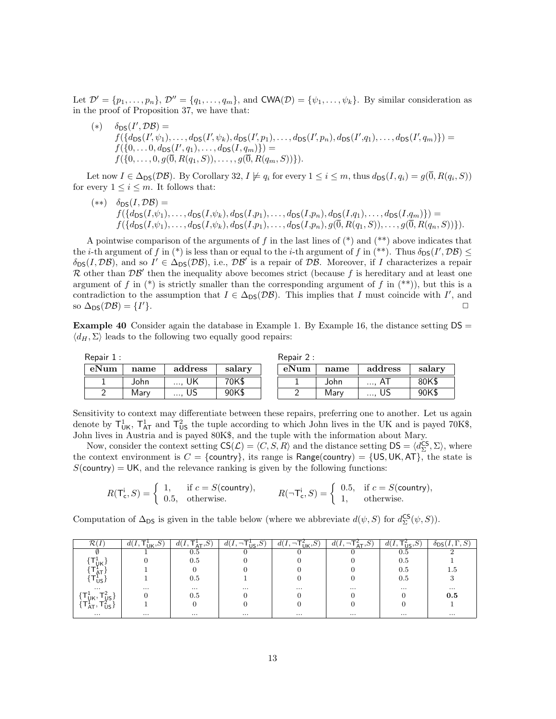Let  $\mathcal{D}' = \{p_1, \ldots, p_n\}, \mathcal{D}'' = \{q_1, \ldots, q_m\},\$ and  $\mathsf{CWA}(\mathcal{D}) = \{\psi_1, \ldots, \psi_k\}.$  By similar consideration as in the proof of Proposition 37, we have that:

(\*)  $\delta_{DS}(I',\mathcal{DB}) =$  $f({d_{\text{DS}}}(I',\psi_1),\ldots,d_{\text{DS}}(I',\psi_k),d_{\text{DS}}(I',p_1),\ldots,d_{\text{DS}}(I',p_n),d_{\text{DS}}(I',q_1),\ldots,d_{\text{DS}}(I',q_m)) =$  $f({0, \ldots 0, d_{\text{DS}}(I', q_1), \ldots, d_{\text{DS}}(I, q_m)}) =$  $f(\{0,\ldots,0,g(\overline{0}, R(q_1,S)),\ldots, ,g(\overline{0}, R(q_m,S))\}).$ 

Let now  $I \in \Delta_{\text{DS}}(\mathcal{DB})$ . By Corollary 32,  $I \not\models q_i$  for every  $1 \leq i \leq m$ , thus  $d_{\text{DS}}(I, q_i) = g(\overline{0}, R(q_i, S))$ for every  $1 \leq i \leq m$ . It follows that:

 $(**)$   $\delta_{DS}(I, \mathcal{DB}) =$  $f({d_{DS}(I, \psi_1), \ldots, d_{DS}(I, \psi_k), d_{DS}(I, p_1), \ldots, d_{DS}(I, p_n), d_{DS}(I, q_1), \ldots, d_{DS}(I, q_m)}) =$  $f({d_{\text{DS}}(I,\psi_1), \ldots, d_{\text{DS}}(I,\psi_k), d_{\text{DS}}(I,p_1), \ldots, d_{\text{DS}}(I,p_n), g(\overline{0}, R(q_1, S)), \ldots, g(\overline{0}, R(q_n, S))}).$ 

A pointwise comparison of the arguments of f in the last lines of  $(*)$  and  $(**)$  above indicates that the *i*-th argument of f in (\*) is less than or equal to the *i*-th argument of f in (\*\*). Thus  $\delta_{DS}(I',\mathcal{DB}) \le$  $\delta_{DS}(I, \mathcal{DB})$ , and so  $I' \in \Delta_{DS}(\mathcal{DB})$ , i.e.,  $\mathcal{DB}'$  is a repair of  $\mathcal{DB}$ . Moreover, if I characterizes a repair R other than  $\mathcal{DB}'$  then the inequality above becomes strict (because f is hereditary and at least one argument of f in  $(*)$  is strictly smaller than the corresponding argument of f in  $(*)$ ), but this is a contradiction to the assumption that  $I \in \Delta_{DS}(\mathcal{DB})$ . This implies that I must coincide with I', and so  $\Delta_{DS}(\mathcal{DB}) = \{I'\}.$  $\mathcal{C}$ .

**Example 40** Consider again the database in Example 1. By Example 16, the distance setting  $DS =$  $\langle d_H, \Sigma \rangle$  leads to the following two equally good repairs:

| Repair $1:$ |      |         |        | Repair 2 : |      |                |        |
|-------------|------|---------|--------|------------|------|----------------|--------|
| eNum        | name | address | salary | eNum       | name | address        | salary |
|             | John | UK      | 70K\$  |            | John | . , A <b>i</b> | 80K\$  |
|             | Marv | …, US   | 90K\$  |            | Marv | …. US          | 90K\$  |

Sensitivity to context may differentiate between these repairs, preferring one to another. Let us again denote by  $T_{UK}^1$ ,  $T_{AT}^1$  and  $T_{US}^2$  the tuple according to which John lives in the UK and is payed 70K\$, John lives in Austria and is payed 80K\$, and the tuple with the information about Mary.

Now, consider the context setting  $\text{CS}(\mathcal{L}) = \langle C, S, R \rangle$  and the distance setting  $DS = \langle d_{\Sigma}^{\text{CS}}, \Sigma \rangle$ , where the context environment is  $C = \{$  country $\}$ , its range is Range(country) =  $\{US, UK, AT\}$ , the state is  $S$ (country) = UK, and the relevance ranking is given by the following functions:

$$
R(\mathsf{T}_{\mathsf{c}}^{\mathsf{i}}, S) = \left\{ \begin{array}{ll} 1, & \text{if } c = S(\text{country}), \\ 0.5, & \text{otherwise.} \end{array} \right. \qquad R(\neg \mathsf{T}_{\mathsf{c}}^{\mathsf{i}}, S) = \left\{ \begin{array}{ll} 0.5, & \text{if } c = S(\text{country}), \\ 1, & \text{otherwise.} \end{array} \right.
$$

Computation of  $\Delta_{DS}$  is given in the table below (where we abbreviate  $d(\psi, S)$  for  $d_{\Sigma}^{CS}(\psi, S)$ ).

|                              | $UK, \sim$ | А        | -        | d.<br>–<br>U K <sup>0</sup> | d.<br>-  |          | ∧nc      |
|------------------------------|------------|----------|----------|-----------------------------|----------|----------|----------|
|                              |            | 0.5      |          |                             |          | 0.5      |          |
| <u>— т</u><br>UK             |            | 0.5      |          |                             |          | 0.5      |          |
| 'Τ+<br>$^{\prime}$ AT        |            | 0        |          |                             |          | 0.5      | 4. L     |
| $\mathsf{T}^1_{\mathsf{US}}$ |            | 0.5      |          |                             |          | 0.5      |          |
| $\cdots$                     | $\cdots$   | $\cdots$ | $\cdots$ | $\cdots$                    | $\cdots$ | $\cdots$ | $\cdots$ |
| UK.                          |            | 0.5      |          |                             |          |          | 0.5      |
| <u>.</u><br>US »<br>AT'      |            | O        |          |                             |          |          |          |
| $\cdots$                     | $\cdots$   | $\cdots$ | $\cdots$ | $\cdots$                    | $\cdots$ | $\cdots$ | $\cdots$ |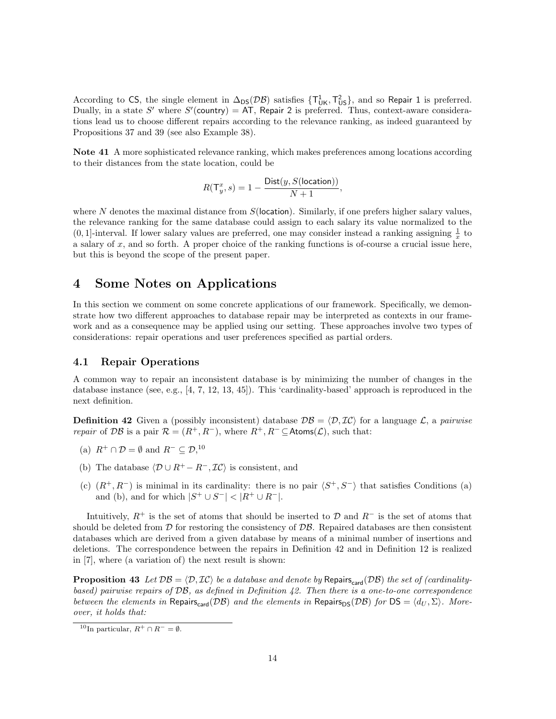According to CS, the single element in  $\Delta_{DS}(DB)$  satisfies  $\{T_{UK}^1, T_{US}^2\}$ , and so Repair 1 is preferred. Dually, in a state S' where  $S'$  (country) = AT, Repair 2 is preferred. Thus, context-aware considerations lead us to choose different repairs according to the relevance ranking, as indeed guaranteed by Propositions 37 and 39 (see also Example 38).

Note 41 A more sophisticated relevance ranking, which makes preferences among locations according to their distances from the state location, could be

$$
R(\mathsf{T}^x_y, s) = 1 - \frac{\mathsf{Dist}(y, S(\mathsf{location}))}{N+1},
$$

where N denotes the maximal distance from  $S$ (location). Similarly, if one prefers higher salary values, the relevance ranking for the same database could assign to each salary its value normalized to the  $(0, 1]$ -interval. If lower salary values are preferred, one may consider instead a ranking assigning  $\frac{1}{x}$  to a salary of  $x$ , and so forth. A proper choice of the ranking functions is of-course a crucial issue here, but this is beyond the scope of the present paper.

# 4 Some Notes on Applications

In this section we comment on some concrete applications of our framework. Specifically, we demonstrate how two different approaches to database repair may be interpreted as contexts in our framework and as a consequence may be applied using our setting. These approaches involve two types of considerations: repair operations and user preferences specified as partial orders.

### 4.1 Repair Operations

A common way to repair an inconsistent database is by minimizing the number of changes in the database instance (see, e.g.,  $[4, 7, 12, 13, 45]$ ). This 'cardinality-based' approach is reproduced in the next definition.

**Definition 42** Given a (possibly inconsistent) database  $\mathcal{DB} = \langle \mathcal{D}, \mathcal{IC} \rangle$  for a language L, a pairwise *repair* of  $\mathcal{DB}$  is a pair  $\mathcal{R} = (R^+, R^-)$ , where  $R^+, R^- \subseteq \text{Atoms}(\mathcal{L})$ , such that:

- (a)  $R^+ \cap \mathcal{D} = \emptyset$  and  $R^- \subseteq \mathcal{D},^{10}$
- (b) The database  $\langle \mathcal{D} \cup R^+ R^-, \mathcal{I} \mathcal{C} \rangle$  is consistent, and
- (c)  $(R^+, R^-)$  is minimal in its cardinality: there is no pair  $\langle S^+, S^- \rangle$  that satisfies Conditions (a) and (b), and for which  $|S^+ \cup S^-|$  <  $|R^+ \cup R^-|$ .

Intuitively,  $R^+$  is the set of atoms that should be inserted to D and  $R^-$  is the set of atoms that should be deleted from  $\mathcal D$  for restoring the consistency of  $\mathcal D\mathcal B$ . Repaired databases are then consistent databases which are derived from a given database by means of a minimal number of insertions and deletions. The correspondence between the repairs in Definition 42 and in Definition 12 is realized in [7], where (a variation of) the next result is shown:

**Proposition 43** Let  $\mathcal{DB} = \langle \mathcal{D}, \mathcal{IC} \rangle$  be a database and denote by Repairs<sub>card</sub>( $\mathcal{DB}$ ) the set of (cardinalitybased) pairwise repairs of  $\mathcal{DB}$ , as defined in Definition 42. Then there is a one-to-one correspondence between the elements in Repairs<sub>card</sub>(DB) and the elements in Repairs<sub>DS</sub>(DB) for DS =  $\langle d_U, \Sigma \rangle$ . Moreover, it holds that:

<sup>&</sup>lt;sup>10</sup>In particular,  $R^+ \cap R^- = \emptyset$ .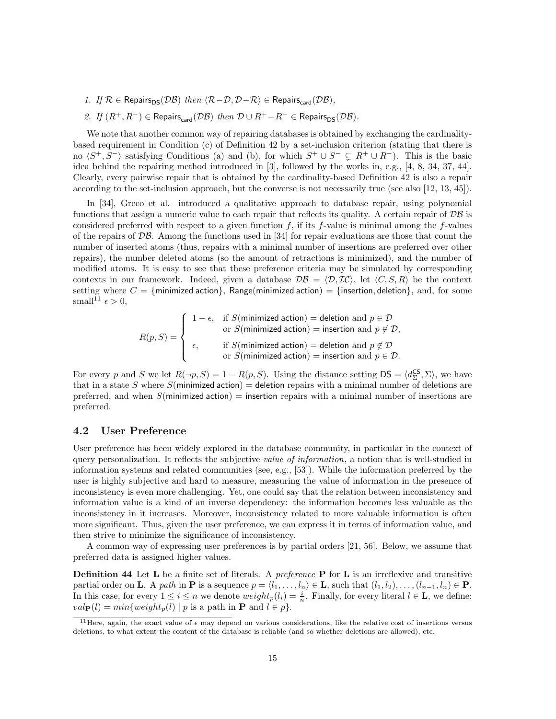1. If  $\mathcal{R} \in \text{Repairs}_{DS}(\mathcal{DB})$  then  $\langle \mathcal{R}-\mathcal{D}, \mathcal{D}-\mathcal{R} \rangle \in \text{Repairs}_{\text{card}}(\mathcal{DB}),$ 

2. If  $(R^+, R^-) \in \text{Repairs}_{\text{card}}(\mathcal{DB})$  then  $\mathcal{D} \cup R^+ - R^- \in \text{Repairs}_{\text{DS}}(\mathcal{DB})$ .

We note that another common way of repairing databases is obtained by exchanging the cardinalitybased requirement in Condition (c) of Definition 42 by a set-inclusion criterion (stating that there is no  $\langle S^+, \overline{S}^-\rangle$  satisfying Conditions (a) and (b), for which  $S^+ \cup S^- \subsetneq R^+ \cup R^-$ ). This is the basic idea behind the repairing method introduced in [3], followed by the works in, e.g., [4, 8, 34, 37, 44]. Clearly, every pairwise repair that is obtained by the cardinality-based Definition 42 is also a repair according to the set-inclusion approach, but the converse is not necessarily true (see also [12, 13, 45]).

In [34], Greco et al. introduced a qualitative approach to database repair, using polynomial functions that assign a numeric value to each repair that reflects its quality. A certain repair of  $\mathcal{DB}$  is considered preferred with respect to a given function  $f$ , if its f-value is minimal among the f-values of the repairs of DB. Among the functions used in [34] for repair evaluations are those that count the number of inserted atoms (thus, repairs with a minimal number of insertions are preferred over other repairs), the number deleted atoms (so the amount of retractions is minimized), and the number of modified atoms. It is easy to see that these preference criteria may be simulated by corresponding contexts in our framework. Indeed, given a database  $\mathcal{DB} = \langle \mathcal{D}, \mathcal{IC} \rangle$ , let  $\langle C, S, R \rangle$  be the context setting where  $C = \{$ minimized action $\}$ , Range(minimized action) =  $\{$ insertion, deletion $\}$ , and, for some small<sup>11</sup>  $\epsilon > 0$ ,

$$
R(p, S) = \begin{cases} 1 - \epsilon, & \text{if } S(\text{minimized action}) = \text{detection and } p \in \mathcal{D} \\ & \text{or } S(\text{minimized action}) = \text{insertion and } p \notin \mathcal{D}, \\ & \text{if } S(\text{minimized action}) = \text{detection and } p \notin \mathcal{D} \\ & \text{or } S(\text{minimized action}) = \text{insertion and } p \in \mathcal{D}. \end{cases}
$$

For every p and S we let  $R(\neg p, S) = 1 - R(p, S)$ . Using the distance setting  $DS = \langle d_{\Sigma}^{\text{CS}}, \Sigma \rangle$ , we have that in a state S where  $S(\text{minimized action}) =$  deletion repairs with a minimal number of deletions are preferred, and when  $S(minmixed action)$  = insertion repairs with a minimal number of insertions are preferred.

#### 4.2 User Preference

User preference has been widely explored in the database community, in particular in the context of query personalization. It reflects the subjective value of information, a notion that is well-studied in information systems and related communities (see, e.g., [53]). While the information preferred by the user is highly subjective and hard to measure, measuring the value of information in the presence of inconsistency is even more challenging. Yet, one could say that the relation between inconsistency and information value is a kind of an inverse dependency: the information becomes less valuable as the inconsistency in it increases. Moreover, inconsistency related to more valuable information is often more significant. Thus, given the user preference, we can express it in terms of information value, and then strive to minimize the significance of inconsistency.

A common way of expressing user preferences is by partial orders [21, 56]. Below, we assume that preferred data is assigned higher values.

**Definition 44** Let **L** be a finite set of literals. A *preference* **P** for **L** is an irreflexive and transitive partial order on **L**. A path in **P** is a sequence  $p = \langle l_1, \ldots, l_n \rangle \in \mathbf{L}$ , such that  $(l_1, l_2), \ldots, (l_{n-1}, l_n) \in \mathbf{P}$ . In this case, for every  $1 \leq i \leq n$  we denote  $weight_p(l_i) = \frac{i}{n}$ . Finally, for every literal  $l \in \mathbf{L}$ , we define:  $val_{\mathbf{P}}(l) = min\{weight_p(l) | p \text{ is a path in } \mathbf{P} \text{ and } l \in p\}.$ 

<sup>&</sup>lt;sup>11</sup>Here, again, the exact value of  $\epsilon$  may depend on various considerations, like the relative cost of insertions versus deletions, to what extent the content of the database is reliable (and so whether deletions are allowed), etc.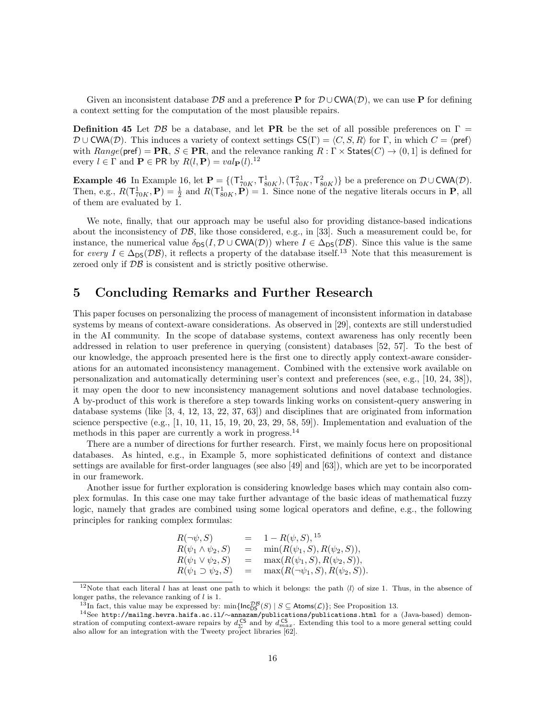Given an inconsistent database  $\mathcal{DB}$  and a preference P for  $\mathcal{D} \cup \text{CWA}(\mathcal{D})$ , we can use P for defining a context setting for the computation of the most plausible repairs.

**Definition 45** Let  $\mathcal{DB}$  be a database, and let **PR** be the set of all possible preferences on  $\Gamma$  =  $\mathcal{D} \cup \text{CWA}(\mathcal{D})$ . This induces a variety of context settings  $\text{CS}(\Gamma) = \langle C, S, R \rangle$  for  $\Gamma$ , in which  $C = \langle \text{pref} \rangle$ with  $Range(\text{pref}) = \text{PR}, S \in \text{PR}, \text{and the relevance ranking } R : \Gamma \times \text{States}(C) \to (0,1]$  is defined for every  $l \in \Gamma$  and  $\mathbf{P} \in \mathsf{PR}$  by  $R(l, \mathbf{P}) = val_{\mathbf{P}}(l).^{12}$ 

**Example 46** In Example 16, let  $\mathbf{P} = \{(\mathbf{T}_{70K}^1, \mathbf{T}_{80K}^1), (\mathbf{T}_{70K}^2, \mathbf{T}_{80K}^2)\}\)$  be a preference on  $\mathcal{D} \cup \text{CWA}(\mathcal{D})$ . Then, e.g.,  $R(\mathsf{T}_{70K}^1, \mathbf{P}) = \frac{1}{2}$  and  $R(\mathsf{T}_{80K}^1, \mathbf{P}) = 1$ . Since none of the negative literals occurs in **P**, all of them are evaluated by 1.

We note, finally, that our approach may be useful also for providing distance-based indications about the inconsistency of  $\mathcal{DB}$ , like those considered, e.g., in [33]. Such a measurement could be, for instance, the numerical value  $\delta_{DS}(I, \mathcal{D} \cup \text{CWA}(\mathcal{D}))$  where  $I \in \Delta_{DS}(\mathcal{D}\mathcal{B})$ . Since this value is the same for every  $I \in \Delta_{DS}(\mathcal{DB})$ , it reflects a property of the database itself.<sup>13</sup> Note that this measurement is zeroed only if  $\mathcal{DB}$  is consistent and is strictly positive otherwise.

### 5 Concluding Remarks and Further Research

This paper focuses on personalizing the process of management of inconsistent information in database systems by means of context-aware considerations. As observed in [29], contexts are still understudied in the AI community. In the scope of database systems, context awareness has only recently been addressed in relation to user preference in querying (consistent) databases [52, 57]. To the best of our knowledge, the approach presented here is the first one to directly apply context-aware considerations for an automated inconsistency management. Combined with the extensive work available on personalization and automatically determining user's context and preferences (see, e.g., [10, 24, 38]), it may open the door to new inconsistency management solutions and novel database technologies. A by-product of this work is therefore a step towards linking works on consistent-query answering in database systems (like [3, 4, 12, 13, 22, 37, 63]) and disciplines that are originated from information science perspective (e.g.,  $[1, 10, 11, 15, 19, 20, 23, 29, 58, 59]$ ). Implementation and evaluation of the methods in this paper are currently a work in progress.<sup>14</sup>

There are a number of directions for further research. First, we mainly focus here on propositional databases. As hinted, e.g., in Example 5, more sophisticated definitions of context and distance settings are available for first-order languages (see also [49] and [63]), which are yet to be incorporated in our framework.

Another issue for further exploration is considering knowledge bases which may contain also complex formulas. In this case one may take further advantage of the basic ideas of mathematical fuzzy logic, namely that grades are combined using some logical operators and define, e.g., the following principles for ranking complex formulas:

| $R(\neg \psi, S)$             | $=$ $-$ | $1 - R(\psi, S),$ <sup>15</sup>          |
|-------------------------------|---------|------------------------------------------|
| $R(\psi_1 \wedge \psi_2, S)$  | $=$     | $\min(R(\psi_1, S), R(\psi_2, S)),$      |
| $R(\psi_1 \vee \psi_2, S)$    | $=$     | $max(R(\psi_1, S), R(\psi_2, S)),$       |
| $R(\psi_1 \supset \psi_2, S)$ | $=$     | $\max(R(\neg \psi_1, S), R(\psi_2, S)).$ |

<sup>&</sup>lt;sup>12</sup>Note that each literal l has at least one path to which it belongs: the path  $\langle l \rangle$  of size 1. Thus, in the absence of longer paths, the relevance ranking of  $l$  is 1.

<sup>&</sup>lt;sup>13</sup>In fact, this value may be expressed by:  $\min\{\text{Inc}_{DS}^{\mathcal{DB}}(S) \mid S \subseteq \text{Atoms}(\mathcal{L})\}\;$  See Proposition 13.

<sup>14</sup>See http://mailng.hevra.haifa.ac.il/∼annazam/publications/publications.html for a (Java-based) demonstration of computing context-aware repairs by  $d_{\Sigma}^{\text{CS}}$  and by  $d_{max}^{\text{CS}}$ . Extending this tool to a more general setting could also allow for an integration with the Tweety project libraries [62].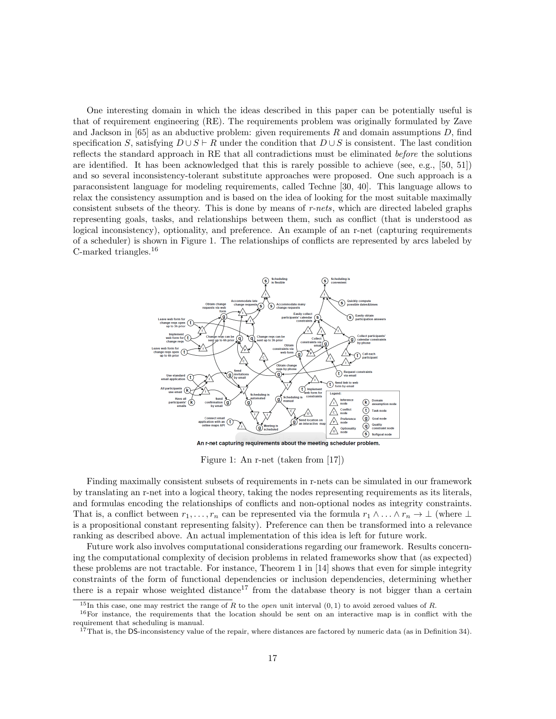One interesting domain in which the ideas described in this paper can be potentially useful is that of requirement engineering (RE). The requirements problem was originally formulated by Zave and Jackson in  $[65]$  as an abductive problem: given requirements R and domain assumptions D, find specification S, satisfying  $D \cup S \vdash R$  under the condition that  $D \cup S$  is consistent. The last condition reflects the standard approach in RE that all contradictions must be eliminated before the solutions are identified. It has been acknowledged that this is rarely possible to achieve (see, e.g., [50, 51]) and so several inconsistency-tolerant substitute approaches were proposed. One such approach is a paraconsistent language for modeling requirements, called Techne [30, 40]. This language allows to relax the consistency assumption and is based on the idea of looking for the most suitable maximally consistent subsets of the theory. This is done by means of r-nets, which are directed labeled graphs representing goals, tasks, and relationships between them, such as conflict (that is understood as logical inconsistency), optionality, and preference. An example of an r-net (capturing requirements of a scheduler) is shown in Figure 1. The relationships of conflicts are represented by arcs labeled by C-marked triangles.<sup>16</sup>



Figure 1: An r-net (taken from [17])

Finding maximally consistent subsets of requirements in r-nets can be simulated in our framework by translating an r-net into a logical theory, taking the nodes representing requirements as its literals, and formulas encoding the relationships of conflicts and non-optional nodes as integrity constraints. That is, a conflict between  $r_1, \ldots, r_n$  can be represented via the formula  $r_1 \wedge \ldots \wedge r_n \rightarrow \perp$  (where  $\perp$ is a propositional constant representing falsity). Preference can then be transformed into a relevance ranking as described above. An actual implementation of this idea is left for future work.

Future work also involves computational considerations regarding our framework. Results concerning the computational complexity of decision problems in related frameworks show that (as expected) these problems are not tractable. For instance, Theorem 1 in [14] shows that even for simple integrity constraints of the form of functional dependencies or inclusion dependencies, determining whether there is a repair whose weighted distance<sup>17</sup> from the database theory is not bigger than a certain

<sup>&</sup>lt;sup>15</sup>In this case, one may restrict the range of R to the *open* unit interval  $(0, 1)$  to avoid zeroed values of R.

<sup>16</sup>For instance, the requirements that the location should be sent on an interactive map is in conflict with the requirement that scheduling is manual.

 $17$ That is, the DS-inconsistency value of the repair, where distances are factored by numeric data (as in Definition 34).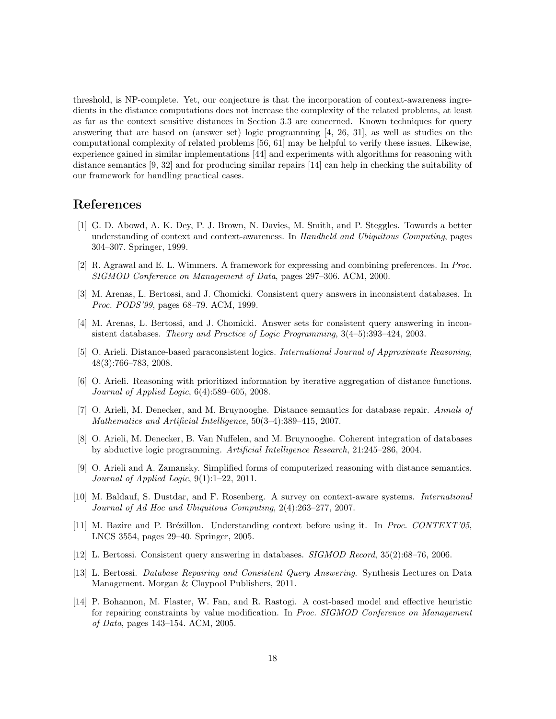threshold, is NP-complete. Yet, our conjecture is that the incorporation of context-awareness ingredients in the distance computations does not increase the complexity of the related problems, at least as far as the context sensitive distances in Section 3.3 are concerned. Known techniques for query answering that are based on (answer set) logic programming [4, 26, 31], as well as studies on the computational complexity of related problems [56, 61] may be helpful to verify these issues. Likewise, experience gained in similar implementations [44] and experiments with algorithms for reasoning with distance semantics [9, 32] and for producing similar repairs [14] can help in checking the suitability of our framework for handling practical cases.

## References

- [1] G. D. Abowd, A. K. Dey, P. J. Brown, N. Davies, M. Smith, and P. Steggles. Towards a better understanding of context and context-awareness. In Handheld and Ubiquitous Computing, pages 304–307. Springer, 1999.
- [2] R. Agrawal and E. L. Wimmers. A framework for expressing and combining preferences. In Proc. SIGMOD Conference on Management of Data, pages 297–306. ACM, 2000.
- [3] M. Arenas, L. Bertossi, and J. Chomicki. Consistent query answers in inconsistent databases. In Proc. PODS'99, pages 68–79. ACM, 1999.
- [4] M. Arenas, L. Bertossi, and J. Chomicki. Answer sets for consistent query answering in inconsistent databases. Theory and Practice of Logic Programming, 3(4–5):393–424, 2003.
- [5] O. Arieli. Distance-based paraconsistent logics. International Journal of Approximate Reasoning, 48(3):766–783, 2008.
- [6] O. Arieli. Reasoning with prioritized information by iterative aggregation of distance functions. Journal of Applied Logic, 6(4):589–605, 2008.
- [7] O. Arieli, M. Denecker, and M. Bruynooghe. Distance semantics for database repair. Annals of Mathematics and Artificial Intelligence, 50(3–4):389–415, 2007.
- [8] O. Arieli, M. Denecker, B. Van Nuffelen, and M. Bruynooghe. Coherent integration of databases by abductive logic programming. Artificial Intelligence Research, 21:245–286, 2004.
- [9] O. Arieli and A. Zamansky. Simplified forms of computerized reasoning with distance semantics. Journal of Applied Logic, 9(1):1–22, 2011.
- [10] M. Baldauf, S. Dustdar, and F. Rosenberg. A survey on context-aware systems. International Journal of Ad Hoc and Ubiquitous Computing, 2(4):263–277, 2007.
- [11] M. Bazire and P. Brézillon. Understanding context before using it. In Proc. CONTEXT'05, LNCS 3554, pages 29–40. Springer, 2005.
- [12] L. Bertossi. Consistent query answering in databases. SIGMOD Record, 35(2):68–76, 2006.
- [13] L. Bertossi. Database Repairing and Consistent Query Answering. Synthesis Lectures on Data Management. Morgan & Claypool Publishers, 2011.
- [14] P. Bohannon, M. Flaster, W. Fan, and R. Rastogi. A cost-based model and effective heuristic for repairing constraints by value modification. In Proc. SIGMOD Conference on Management of Data, pages 143–154. ACM, 2005.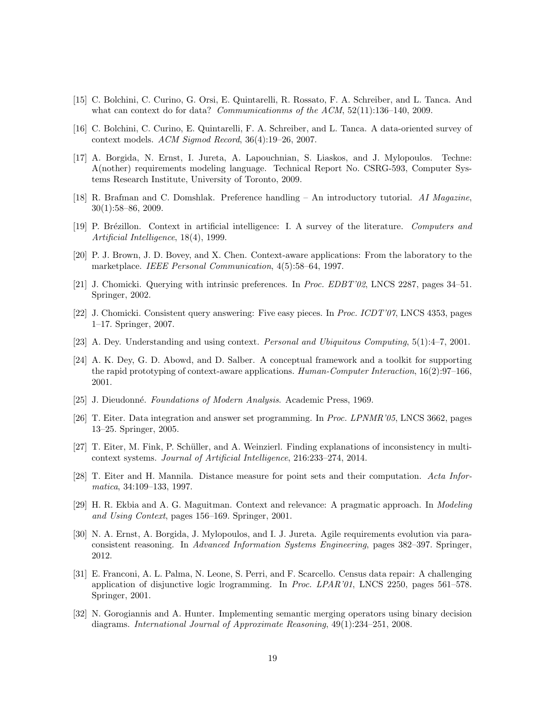- [15] C. Bolchini, C. Curino, G. Orsi, E. Quintarelli, R. Rossato, F. A. Schreiber, and L. Tanca. And what can context do for data? *Commumicationms of the ACM*,  $52(11):136-140$ , 2009.
- [16] C. Bolchini, C. Curino, E. Quintarelli, F. A. Schreiber, and L. Tanca. A data-oriented survey of context models. ACM Sigmod Record, 36(4):19–26, 2007.
- [17] A. Borgida, N. Ernst, I. Jureta, A. Lapouchnian, S. Liaskos, and J. Mylopoulos. Techne: A(nother) requirements modeling language. Technical Report No. CSRG-593, Computer Systems Research Institute, University of Toronto, 2009.
- [18] R. Brafman and C. Domshlak. Preference handling An introductory tutorial. AI Magazine, 30(1):58–86, 2009.
- [19] P. Brézillon. Context in artificial intelligence: I. A survey of the literature. Computers and Artificial Intelligence, 18(4), 1999.
- [20] P. J. Brown, J. D. Bovey, and X. Chen. Context-aware applications: From the laboratory to the marketplace. IEEE Personal Communication, 4(5):58–64, 1997.
- [21] J. Chomicki. Querying with intrinsic preferences. In Proc. EDBT'02, LNCS 2287, pages 34–51. Springer, 2002.
- [22] J. Chomicki. Consistent query answering: Five easy pieces. In Proc. ICDT'07, LNCS 4353, pages 1–17. Springer, 2007.
- [23] A. Dey. Understanding and using context. Personal and Ubiquitous Computing, 5(1):4–7, 2001.
- [24] A. K. Dey, G. D. Abowd, and D. Salber. A conceptual framework and a toolkit for supporting the rapid prototyping of context-aware applications. Human-Computer Interaction,  $16(2):97-166$ , 2001.
- [25] J. Dieudonné. Foundations of Modern Analysis. Academic Press, 1969.
- [26] T. Eiter. Data integration and answer set programming. In Proc. LPNMR'05, LNCS 3662, pages 13–25. Springer, 2005.
- [27] T. Eiter, M. Fink, P. Sch¨uller, and A. Weinzierl. Finding explanations of inconsistency in multicontext systems. Journal of Artificial Intelligence, 216:233–274, 2014.
- [28] T. Eiter and H. Mannila. Distance measure for point sets and their computation. Acta Informatica, 34:109–133, 1997.
- [29] H. R. Ekbia and A. G. Maguitman. Context and relevance: A pragmatic approach. In Modeling and Using Context, pages 156–169. Springer, 2001.
- [30] N. A. Ernst, A. Borgida, J. Mylopoulos, and I. J. Jureta. Agile requirements evolution via paraconsistent reasoning. In Advanced Information Systems Engineering, pages 382–397. Springer, 2012.
- [31] E. Franconi, A. L. Palma, N. Leone, S. Perri, and F. Scarcello. Census data repair: A challenging application of disjunctive logic lrogramming. In Proc. LPAR'01, LNCS 2250, pages 561–578. Springer, 2001.
- [32] N. Gorogiannis and A. Hunter. Implementing semantic merging operators using binary decision diagrams. International Journal of Approximate Reasoning, 49(1):234–251, 2008.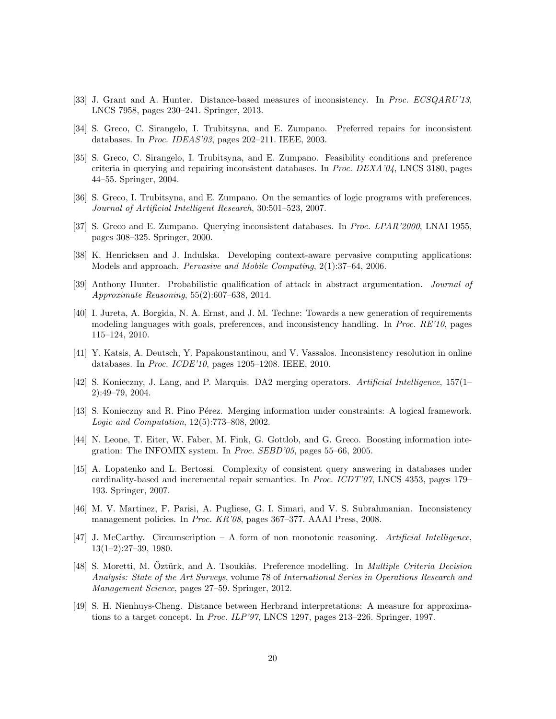- [33] J. Grant and A. Hunter. Distance-based measures of inconsistency. In Proc. ECSQARU'13, LNCS 7958, pages 230–241. Springer, 2013.
- [34] S. Greco, C. Sirangelo, I. Trubitsyna, and E. Zumpano. Preferred repairs for inconsistent databases. In Proc. IDEAS'03, pages 202–211. IEEE, 2003.
- [35] S. Greco, C. Sirangelo, I. Trubitsyna, and E. Zumpano. Feasibility conditions and preference criteria in querying and repairing inconsistent databases. In Proc. DEXA'04, LNCS 3180, pages 44–55. Springer, 2004.
- [36] S. Greco, I. Trubitsyna, and E. Zumpano. On the semantics of logic programs with preferences. Journal of Artificial Intelligent Research, 30:501–523, 2007.
- [37] S. Greco and E. Zumpano. Querying inconsistent databases. In Proc. LPAR'2000, LNAI 1955, pages 308–325. Springer, 2000.
- [38] K. Henricksen and J. Indulska. Developing context-aware pervasive computing applications: Models and approach. Pervasive and Mobile Computing, 2(1):37–64, 2006.
- [39] Anthony Hunter. Probabilistic qualification of attack in abstract argumentation. Journal of Approximate Reasoning, 55(2):607–638, 2014.
- [40] I. Jureta, A. Borgida, N. A. Ernst, and J. M. Techne: Towards a new generation of requirements modeling languages with goals, preferences, and inconsistency handling. In Proc. RE'10, pages 115–124, 2010.
- [41] Y. Katsis, A. Deutsch, Y. Papakonstantinou, and V. Vassalos. Inconsistency resolution in online databases. In Proc. ICDE'10, pages 1205–1208. IEEE, 2010.
- [42] S. Konieczny, J. Lang, and P. Marquis. DA2 merging operators. Artificial Intelligence, 157(1– 2):49–79, 2004.
- [43] S. Konieczny and R. Pino Pérez. Merging information under constraints: A logical framework. Logic and Computation, 12(5):773–808, 2002.
- [44] N. Leone, T. Eiter, W. Faber, M. Fink, G. Gottlob, and G. Greco. Boosting information integration: The INFOMIX system. In Proc. SEBD'05, pages 55–66, 2005.
- [45] A. Lopatenko and L. Bertossi. Complexity of consistent query answering in databases under cardinality-based and incremental repair semantics. In Proc. ICDT'07, LNCS 4353, pages 179– 193. Springer, 2007.
- [46] M. V. Martinez, F. Parisi, A. Pugliese, G. I. Simari, and V. S. Subrahmanian. Inconsistency management policies. In Proc. KR'08, pages 367–377. AAAI Press, 2008.
- [47] J. McCarthy. Circumscription A form of non monotonic reasoning. Artificial Intelligence, 13(1–2):27–39, 1980.
- [48] S. Moretti, M. Öztürk, and A. Tsoukiàs. Preference modelling. In *Multiple Criteria Decision* Analysis: State of the Art Surveys, volume 78 of International Series in Operations Research and Management Science, pages 27–59. Springer, 2012.
- [49] S. H. Nienhuys-Cheng. Distance between Herbrand interpretations: A measure for approximations to a target concept. In Proc. ILP'97, LNCS 1297, pages 213–226. Springer, 1997.